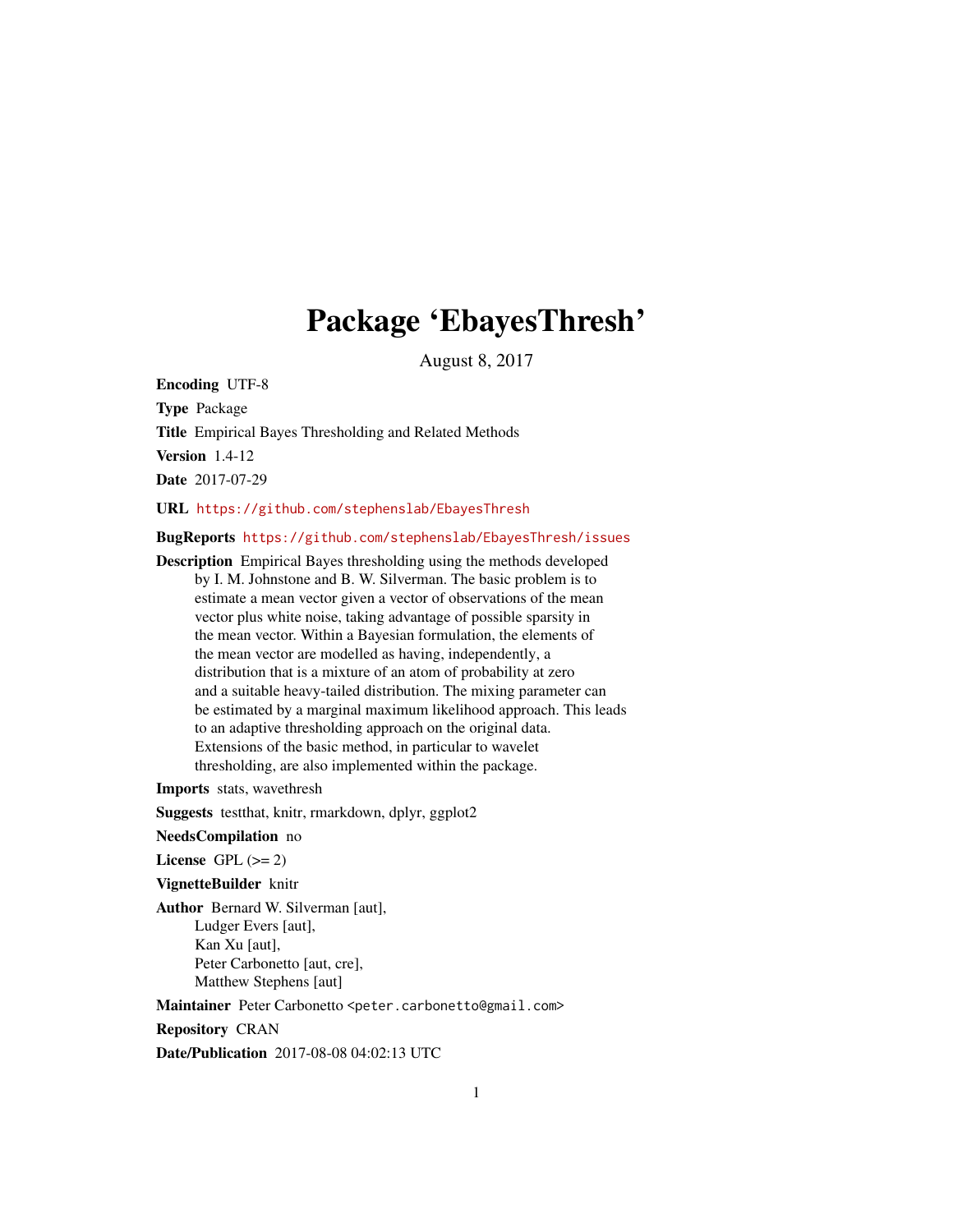# Package 'EbayesThresh'

August 8, 2017

<span id="page-0-0"></span>Encoding UTF-8 Type Package Title Empirical Bayes Thresholding and Related Methods Version 1.4-12 Date 2017-07-29

URL <https://github.com/stephenslab/EbayesThresh>

BugReports <https://github.com/stephenslab/EbayesThresh/issues>

Description Empirical Bayes thresholding using the methods developed by I. M. Johnstone and B. W. Silverman. The basic problem is to estimate a mean vector given a vector of observations of the mean vector plus white noise, taking advantage of possible sparsity in the mean vector. Within a Bayesian formulation, the elements of the mean vector are modelled as having, independently, a distribution that is a mixture of an atom of probability at zero and a suitable heavy-tailed distribution. The mixing parameter can be estimated by a marginal maximum likelihood approach. This leads to an adaptive thresholding approach on the original data. Extensions of the basic method, in particular to wavelet thresholding, are also implemented within the package.

Imports stats, wavethresh

Suggests testthat, knitr, rmarkdown, dplyr, ggplot2

NeedsCompilation no

License GPL  $(>= 2)$ 

VignetteBuilder knitr

Author Bernard W. Silverman [aut], Ludger Evers [aut], Kan Xu [aut], Peter Carbonetto [aut, cre], Matthew Stephens [aut]

Maintainer Peter Carbonetto <peter.carbonetto@gmail.com>

Repository CRAN

Date/Publication 2017-08-08 04:02:13 UTC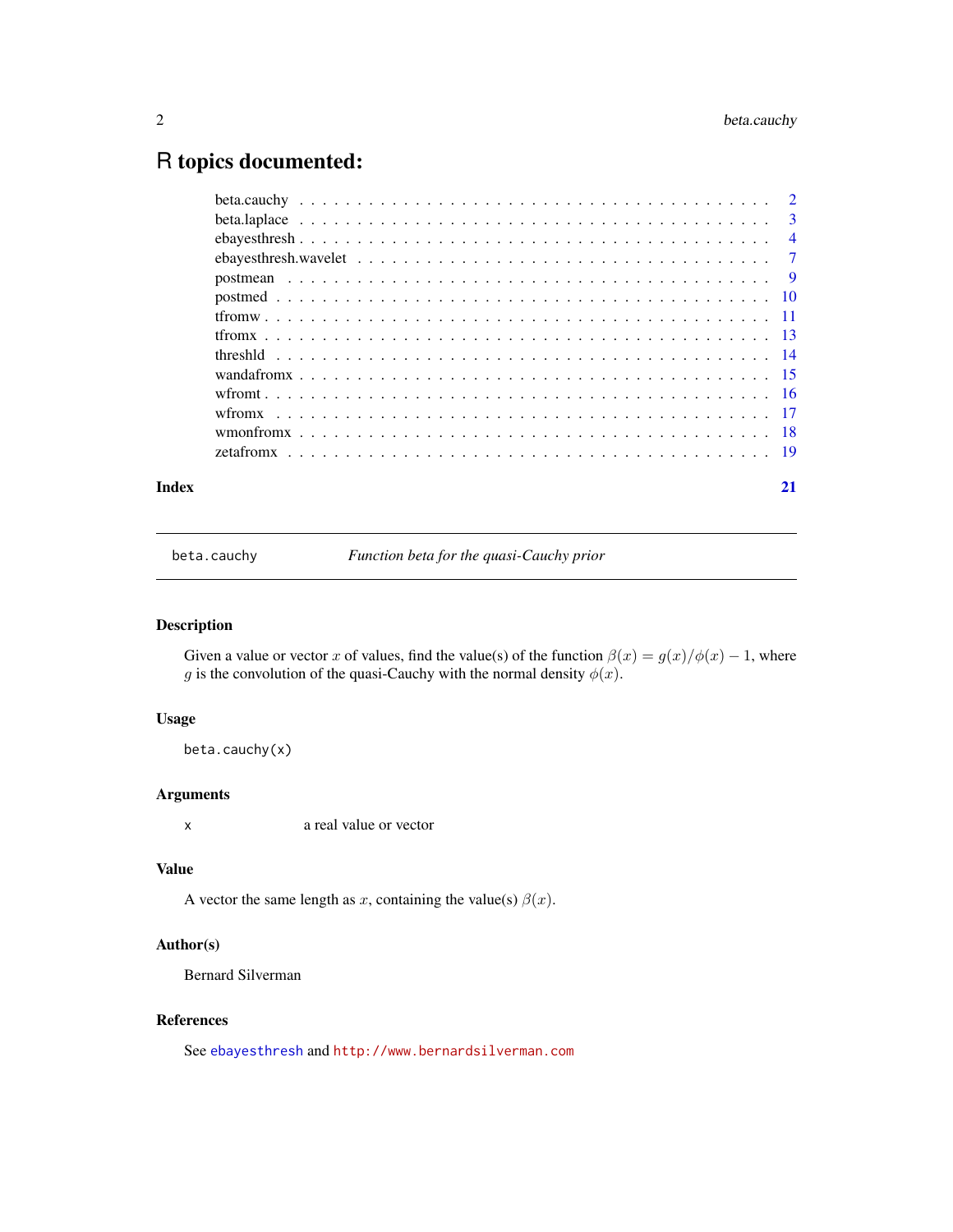# <span id="page-1-0"></span>R topics documented:

| Index |                                                                                                                                                                                                                                                                                    | 21 |
|-------|------------------------------------------------------------------------------------------------------------------------------------------------------------------------------------------------------------------------------------------------------------------------------------|----|
|       | zetafrom $x_1, x_2, x_3, x_4, x_5, x_6, x_7, x_8, x_9, x_1, x_2, x_3, x_4, x_5, x_6, x_7, x_8, x_9, x_1, x_2, x_3, x_4, x_7, x_8, x_9, x_1, x_2, x_3, x_4, x_6, x_7, x_8, x_9, x_1, x_2, x_3, x_4, x_6, x_7, x_8, x_9, x_1, x_2, x_3, x_4, x_6, x_7, x_8, x_9, x_1, x_2, x_3, x_4$ |    |
|       |                                                                                                                                                                                                                                                                                    |    |
|       |                                                                                                                                                                                                                                                                                    |    |
|       |                                                                                                                                                                                                                                                                                    |    |
|       |                                                                                                                                                                                                                                                                                    |    |
|       |                                                                                                                                                                                                                                                                                    |    |
|       |                                                                                                                                                                                                                                                                                    |    |
|       |                                                                                                                                                                                                                                                                                    |    |
|       |                                                                                                                                                                                                                                                                                    |    |
|       |                                                                                                                                                                                                                                                                                    |    |
|       |                                                                                                                                                                                                                                                                                    |    |
|       |                                                                                                                                                                                                                                                                                    |    |
|       |                                                                                                                                                                                                                                                                                    |    |
|       |                                                                                                                                                                                                                                                                                    |    |

<span id="page-1-1"></span>beta.cauchy *Function beta for the quasi-Cauchy prior*

# Description

Given a value or vector x of values, find the value(s) of the function  $\beta(x) = g(x)/\phi(x) - 1$ , where g is the convolution of the quasi-Cauchy with the normal density  $\phi(x)$ .

# Usage

beta.cauchy(x)

# Arguments

x a real value or vector

#### Value

A vector the same length as x, containing the value(s)  $\beta(x)$ .

# Author(s)

Bernard Silverman

# References

See [ebayesthresh](#page-3-1) and <http://www.bernardsilverman.com>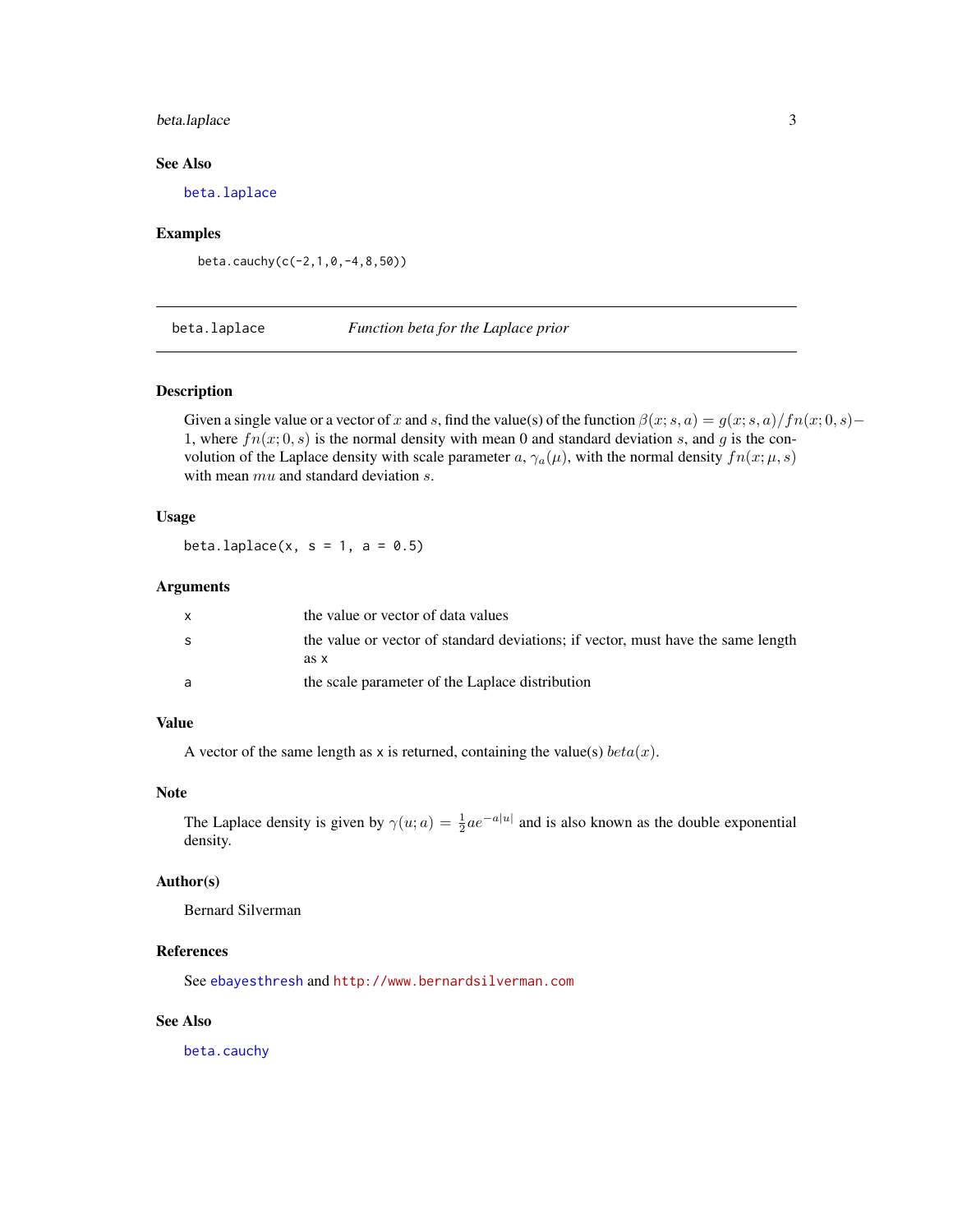# <span id="page-2-0"></span>beta.laplace 3

# See Also

[beta.laplace](#page-2-1)

#### Examples

beta.cauchy(c(-2,1,0,-4,8,50))

<span id="page-2-1"></span>beta.laplace *Function beta for the Laplace prior*

#### Description

Given a single value or a vector of x and s, find the value(s) of the function  $\beta(x; s, a) = g(x; s, a)/fn(x; 0, s)$ − 1, where  $fn(x; 0, s)$  is the normal density with mean 0 and standard deviation s, and g is the convolution of the Laplace density with scale parameter a,  $\gamma_a(\mu)$ , with the normal density  $fn(x; \mu, s)$ with mean  $mu$  and standard deviation s.

#### Usage

beta.laplace $(x, s = 1, a = 0.5)$ 

#### Arguments

|   | the value or vector of data values                                               |
|---|----------------------------------------------------------------------------------|
| S | the value or vector of standard deviations; if vector, must have the same length |
|   | as x                                                                             |
|   | the scale parameter of the Laplace distribution                                  |

# Value

A vector of the same length as x is returned, containing the value(s)  $beta(x)$ .

#### Note

The Laplace density is given by  $\gamma(u; a) = \frac{1}{2} a e^{-a|u|}$  and is also known as the double exponential density.

# Author(s)

Bernard Silverman

#### References

See [ebayesthresh](#page-3-1) and <http://www.bernardsilverman.com>

#### See Also

[beta.cauchy](#page-1-1)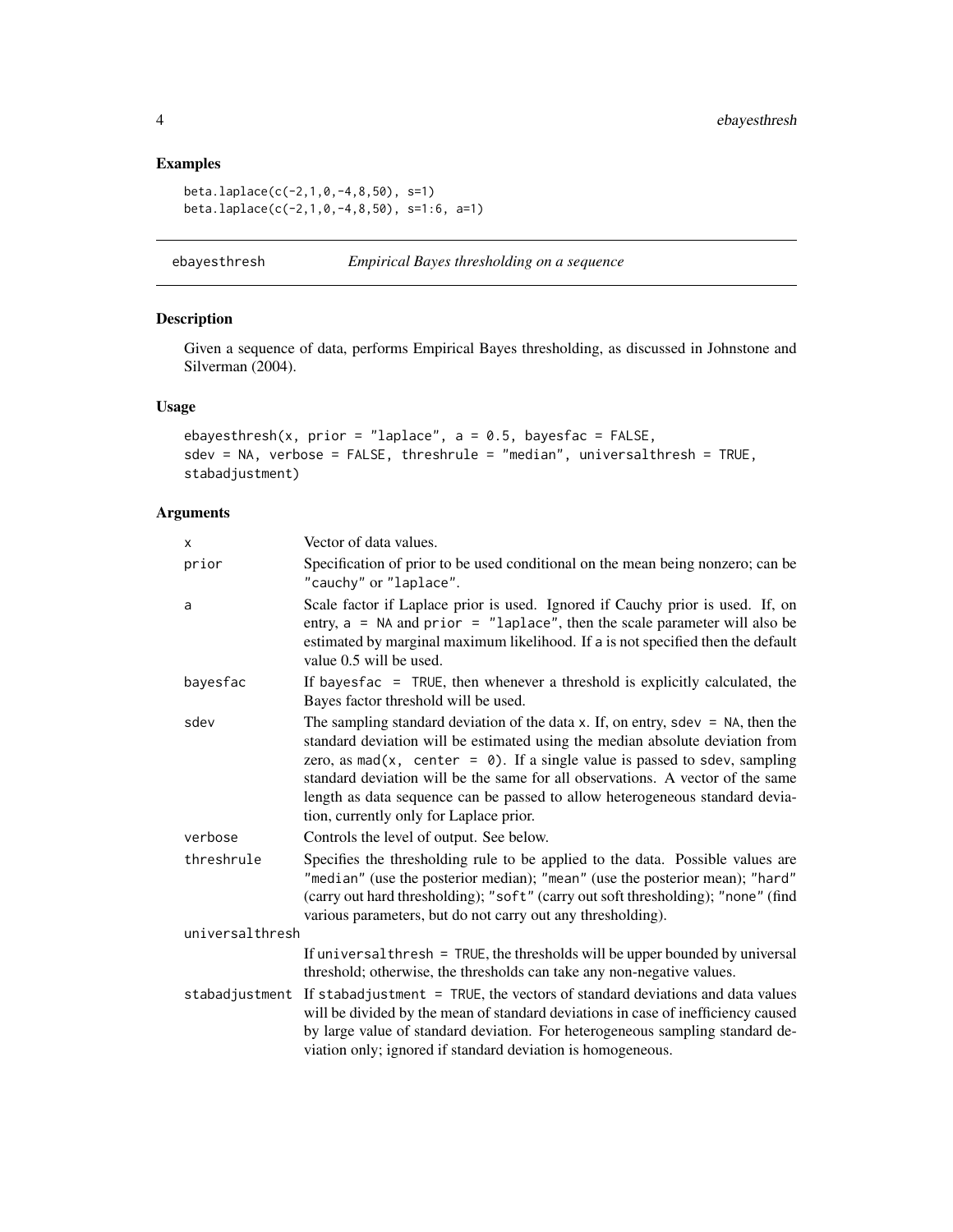# Examples

```
beta.laplace(c(-2,1,0,-4,8,50), s=1)
beta.laplace(c(-2,1,0,-4,8,50), s=1:6, a=1)
```
<span id="page-3-1"></span>

| ebayesthresh |  |  |  | Empirical Bayes thresholding on a sequence |
|--------------|--|--|--|--------------------------------------------|
|--------------|--|--|--|--------------------------------------------|

# Description

Given a sequence of data, performs Empirical Bayes thresholding, as discussed in Johnstone and Silverman (2004).

# Usage

```
ebayesthresh(x, prior = "laplace", a = 0.5, bayesfac = FALSE,
sdev = NA, verbose = FALSE, threshrule = "median", universalthresh = TRUE,
stabadjustment)
```
# Arguments

| X               | Vector of data values.                                                                                                                                                                                                                                                                                                                                                                                                                                             |
|-----------------|--------------------------------------------------------------------------------------------------------------------------------------------------------------------------------------------------------------------------------------------------------------------------------------------------------------------------------------------------------------------------------------------------------------------------------------------------------------------|
| prior           | Specification of prior to be used conditional on the mean being nonzero; can be<br>"cauchy" or "laplace".                                                                                                                                                                                                                                                                                                                                                          |
| a               | Scale factor if Laplace prior is used. Ignored if Cauchy prior is used. If, on<br>entry, $a = NA$ and prior = "laplace", then the scale parameter will also be<br>estimated by marginal maximum likelihood. If a is not specified then the default<br>value 0.5 will be used.                                                                                                                                                                                      |
| bayesfac        | If bayes fac $=$ TRUE, then whenever a threshold is explicitly calculated, the<br>Bayes factor threshold will be used.                                                                                                                                                                                                                                                                                                                                             |
| sdev            | The sampling standard deviation of the data x. If, on entry, sdev = $NA$ , then the<br>standard deviation will be estimated using the median absolute deviation from<br>zero, as $mad(x, center = 0)$ . If a single value is passed to sdev, sampling<br>standard deviation will be the same for all observations. A vector of the same<br>length as data sequence can be passed to allow heterogeneous standard devia-<br>tion, currently only for Laplace prior. |
| verbose         | Controls the level of output. See below.                                                                                                                                                                                                                                                                                                                                                                                                                           |
| threshrule      | Specifies the thresholding rule to be applied to the data. Possible values are<br>"median" (use the posterior median); "mean" (use the posterior mean); "hard"<br>(carry out hard thresholding); "soft" (carry out soft thresholding); "none" (find<br>various parameters, but do not carry out any thresholding).                                                                                                                                                 |
| universalthresh |                                                                                                                                                                                                                                                                                                                                                                                                                                                                    |
|                 | If universal thresh = TRUE, the thresholds will be upper bounded by universal<br>threshold; otherwise, the thresholds can take any non-negative values.                                                                                                                                                                                                                                                                                                            |
|                 | stabadjustment If stabadjustment = TRUE, the vectors of standard deviations and data values<br>will be divided by the mean of standard deviations in case of inefficiency caused<br>by large value of standard deviation. For heterogeneous sampling standard de-<br>viation only; ignored if standard deviation is homogeneous.                                                                                                                                   |

<span id="page-3-0"></span>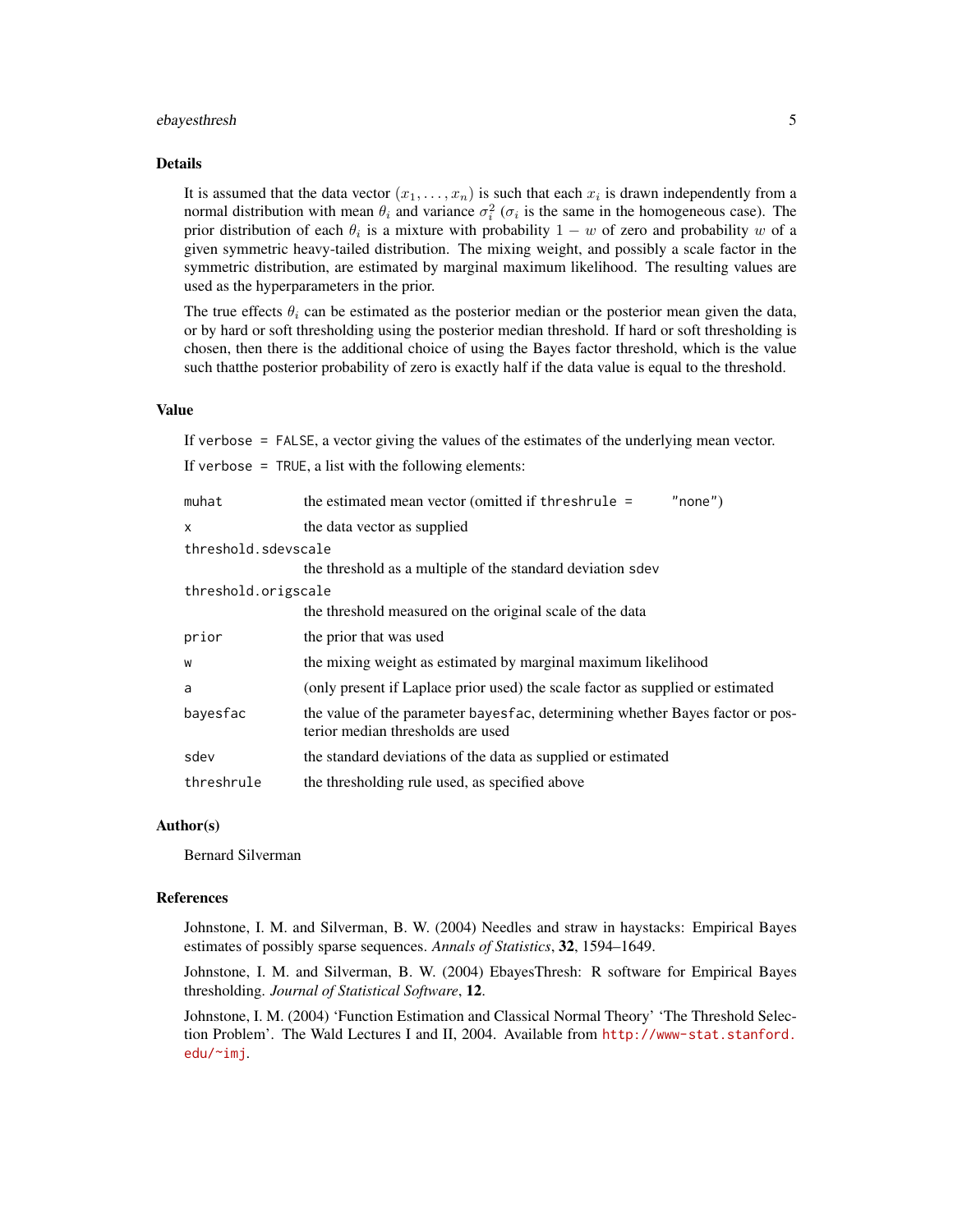# ebayesthresh 5

# Details

It is assumed that the data vector  $(x_1, \ldots, x_n)$  is such that each  $x_i$  is drawn independently from a normal distribution with mean  $\theta_i$  and variance  $\sigma_i^2$  ( $\sigma_i$  is the same in the homogeneous case). The prior distribution of each  $\theta_i$  is a mixture with probability  $1 - w$  of zero and probability w of a given symmetric heavy-tailed distribution. The mixing weight, and possibly a scale factor in the symmetric distribution, are estimated by marginal maximum likelihood. The resulting values are used as the hyperparameters in the prior.

The true effects  $\theta_i$  can be estimated as the posterior median or the posterior mean given the data, or by hard or soft thresholding using the posterior median threshold. If hard or soft thresholding is chosen, then there is the additional choice of using the Bayes factor threshold, which is the value such thatthe posterior probability of zero is exactly half if the data value is equal to the threshold.

#### Value

If verbose = FALSE, a vector giving the values of the estimates of the underlying mean vector. If verbose  $=$  TRUE, a list with the following elements:

| muhat               | "none")<br>the estimated mean vector (omitted if threshrule =                                                        |
|---------------------|----------------------------------------------------------------------------------------------------------------------|
| X                   | the data vector as supplied                                                                                          |
| threshold.sdevscale |                                                                                                                      |
|                     | the threshold as a multiple of the standard deviation sdev                                                           |
| threshold.origscale |                                                                                                                      |
|                     | the threshold measured on the original scale of the data                                                             |
| prior               | the prior that was used                                                                                              |
| W                   | the mixing weight as estimated by marginal maximum likelihood                                                        |
| a                   | (only present if Laplace prior used) the scale factor as supplied or estimated                                       |
| bayesfac            | the value of the parameter bayes face, determining whether Bayes factor or pos-<br>terior median thresholds are used |
| sdev                | the standard deviations of the data as supplied or estimated                                                         |
| threshrule          | the thresholding rule used, as specified above                                                                       |

#### Author(s)

Bernard Silverman

#### References

Johnstone, I. M. and Silverman, B. W. (2004) Needles and straw in haystacks: Empirical Bayes estimates of possibly sparse sequences. *Annals of Statistics*, 32, 1594–1649.

Johnstone, I. M. and Silverman, B. W. (2004) EbayesThresh: R software for Empirical Bayes thresholding. *Journal of Statistical Software*, 12.

Johnstone, I. M. (2004) 'Function Estimation and Classical Normal Theory' 'The Threshold Selection Problem'. The Wald Lectures I and II, 2004. Available from [http://www-stat.stanford.](http://www-stat.stanford.edu/~imj) [edu/~imj](http://www-stat.stanford.edu/~imj).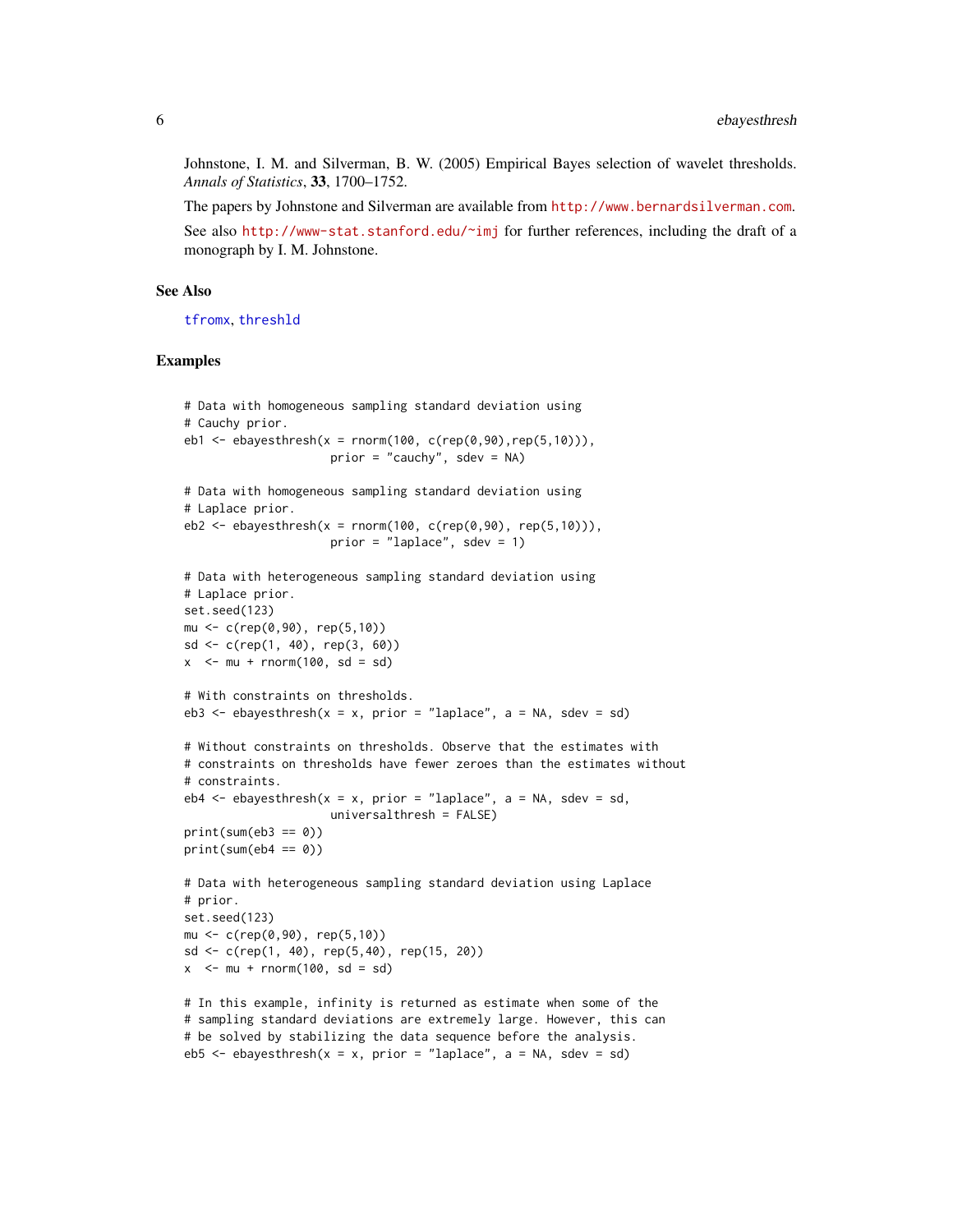Johnstone, I. M. and Silverman, B. W. (2005) Empirical Bayes selection of wavelet thresholds. *Annals of Statistics*, 33, 1700–1752.

The papers by Johnstone and Silverman are available from <http://www.bernardsilverman.com>.

See also <http://www-stat.stanford.edu/~imj> for further references, including the draft of a monograph by I. M. Johnstone.

#### See Also

[tfromx](#page-12-1), [threshld](#page-13-1)

#### Examples

```
# Data with homogeneous sampling standard deviation using
# Cauchy prior.
eb1 <- ebayesthresh(x = rnorm(100, c(rep(0,90), rep(5,10))),
                     prior = "cauchy", sdev = NA)
# Data with homogeneous sampling standard deviation using
# Laplace prior.
eb2 <- ebayesthresh(x = rnorm(100, c(rep(0,90), rep(5,10))),
                     prior = "laplace", sdev = 1)
# Data with heterogeneous sampling standard deviation using
# Laplace prior.
set.seed(123)
mu <- c(rep(0,90), rep(5,10))
sd \leq c(rep(1, 40), rep(3, 60))
x \le -mu + rnorm(100, sd = sd)# With constraints on thresholds.
eb3 <- ebayesthresh(x = x, prior = "laplace", a = NA, sdev = sd)
# Without constraints on thresholds. Observe that the estimates with
# constraints on thresholds have fewer zeroes than the estimates without
# constraints.
eb4 \leq ebayesthresh(x = x, prior = "laplace", a = NA, sdev = sd,
                     universalthresh = FALSE)
print(sum(eb3 == 0))print(sum(eb4 == 0))# Data with heterogeneous sampling standard deviation using Laplace
# prior.
set.seed(123)
mu <- c(rep(0,90), rep(5,10))
sd <- c(rep(1, 40), rep(5,40), rep(15, 20))
x < -mu + rnorm(100, sd = sd)# In this example, infinity is returned as estimate when some of the
# sampling standard deviations are extremely large. However, this can
# be solved by stabilizing the data sequence before the analysis.
eb5 \leq ebayesthresh(x = x, prior = "laplace", a = NA, sdev = sd)
```
<span id="page-5-0"></span>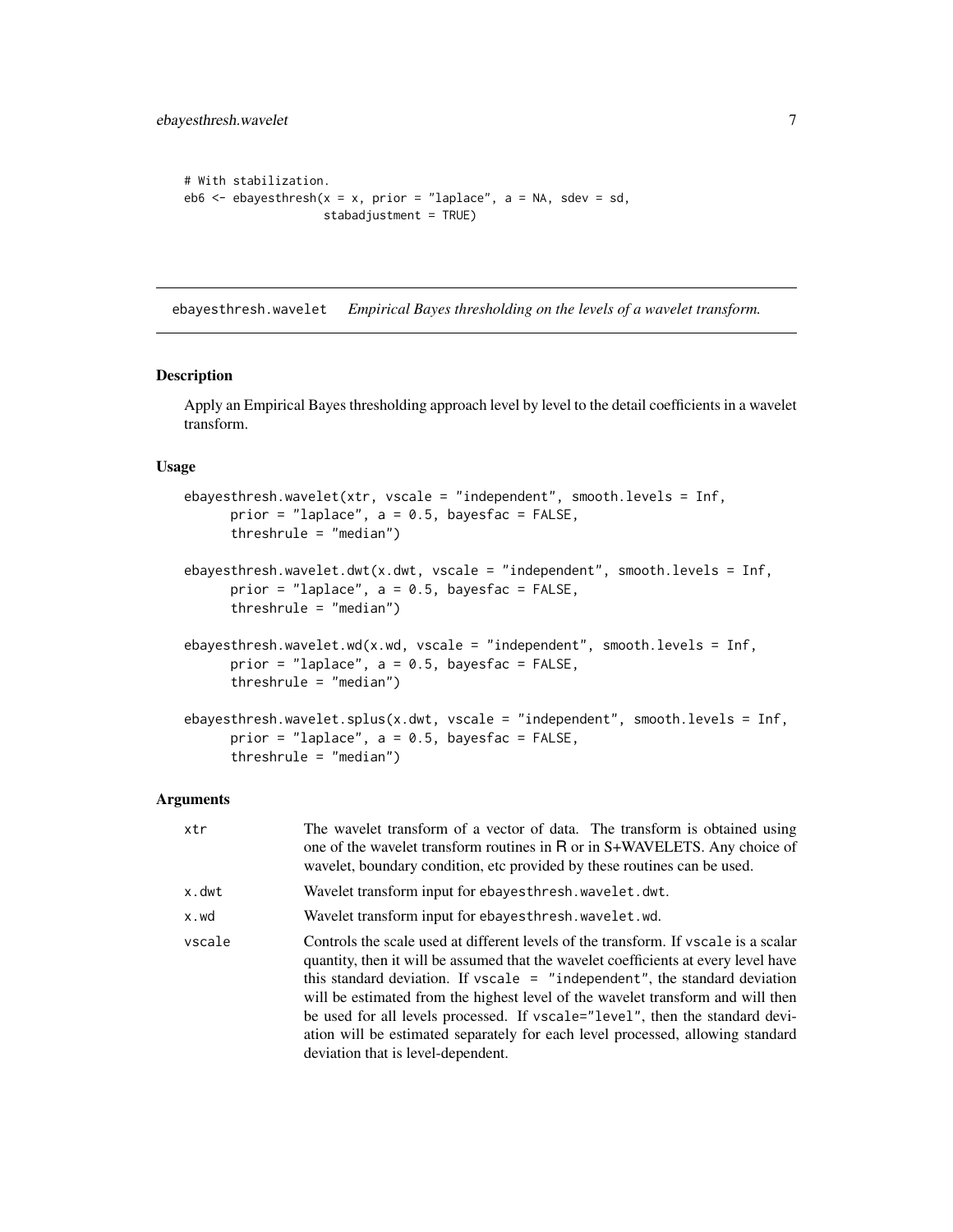```
# With stabilization.
eb6 \leq ebayesthresh(x = x, prior = "laplace", a = NA, sdev = sd,
                    stabadjustment = TRUE)
```
ebayesthresh.wavelet *Empirical Bayes thresholding on the levels of a wavelet transform.*

# Description

Apply an Empirical Bayes thresholding approach level by level to the detail coefficients in a wavelet transform.

#### Usage

```
ebayesthresh.wavelet(xtr, vscale = "independent", smooth.levels = Inf,
     prior = "laplace", a = 0.5, bayesfac = FALSE,
     threshrule = "median")
ebayesthresh.wavelet.dwt(x.dwt, vscale = "independent", smooth.levels = Inf,
     prior = "laplace", a = 0.5, bayesfac = FALSE,
     threshrule = "median")
ebayesthresh.wavelet.wd(x.wd, vscale = "independent", smooth.levels = Inf,
     prior = "laplace", a = 0.5, bayesfac = FALSE,
     threshrule = "median")
ebayesthresh.wavelet.splus(x.dwt, vscale = "independent", smooth.levels = Inf,
     prior = "laplace", a = 0.5, bayesfac = FALSE,
     threshrule = "median")
```
#### **Arguments**

| xtr    | The wavelet transform of a vector of data. The transform is obtained using<br>one of the wavelet transform routines in R or in S+WAVELETS. Any choice of<br>wavelet, boundary condition, etc provided by these routines can be used.                                                                                                                                                                                                                                                                                                                  |
|--------|-------------------------------------------------------------------------------------------------------------------------------------------------------------------------------------------------------------------------------------------------------------------------------------------------------------------------------------------------------------------------------------------------------------------------------------------------------------------------------------------------------------------------------------------------------|
| x.dwt  | Wavelet transform input for ebayes thresh. wavelet. dwt.                                                                                                                                                                                                                                                                                                                                                                                                                                                                                              |
| x.wd   | Wavelet transform input for ebayesthresh. wavelet. wd.                                                                                                                                                                                                                                                                                                                                                                                                                                                                                                |
| vscale | Controls the scale used at different levels of the transform. If yscale is a scalar<br>quantity, then it will be assumed that the wavelet coefficients at every level have<br>this standard deviation. If vscale $=$ "independent", the standard deviation<br>will be estimated from the highest level of the wavelet transform and will then<br>be used for all levels processed. If vscale="level", then the standard devi-<br>ation will be estimated separately for each level processed, allowing standard<br>deviation that is level-dependent. |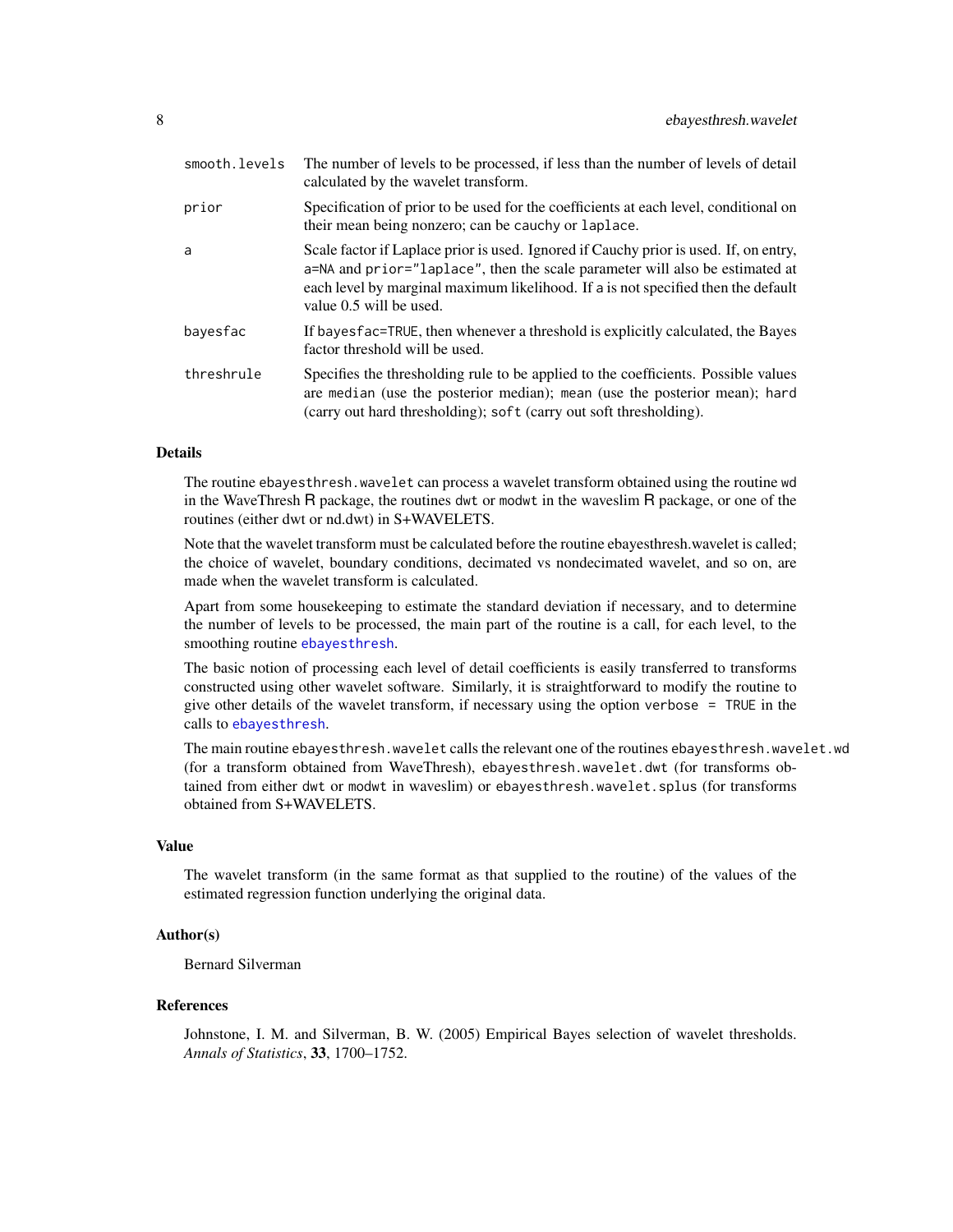<span id="page-7-0"></span>

| smooth.levels | The number of levels to be processed, if less than the number of levels of detail<br>calculated by the wavelet transform.                                                                                                                                                             |
|---------------|---------------------------------------------------------------------------------------------------------------------------------------------------------------------------------------------------------------------------------------------------------------------------------------|
| prior         | Specification of prior to be used for the coefficients at each level, conditional on<br>their mean being nonzero; can be cauchy or laplace.                                                                                                                                           |
| a             | Scale factor if Laplace prior is used. Ignored if Cauchy prior is used. If, on entry,<br>a=NA and prior="laplace", then the scale parameter will also be estimated at<br>each level by marginal maximum likelihood. If a is not specified then the default<br>value 0.5 will be used. |
| bayesfac      | If bayes fac=TRUE, then whenever a threshold is explicitly calculated, the Bayes<br>factor threshold will be used.                                                                                                                                                                    |
| threshrule    | Specifies the thresholding rule to be applied to the coefficients. Possible values<br>are median (use the posterior median); mean (use the posterior mean); hard<br>(carry out hard thresholding); soft (carry out soft thresholding).                                                |

# Details

The routine ebayesthresh.wavelet can process a wavelet transform obtained using the routine wd in the WaveThresh R package, the routines dwt or modwt in the waveslim R package, or one of the routines (either dwt or nd.dwt) in S+WAVELETS.

Note that the wavelet transform must be calculated before the routine ebayesthresh.wavelet is called; the choice of wavelet, boundary conditions, decimated vs nondecimated wavelet, and so on, are made when the wavelet transform is calculated.

Apart from some housekeeping to estimate the standard deviation if necessary, and to determine the number of levels to be processed, the main part of the routine is a call, for each level, to the smoothing routine [ebayesthresh](#page-3-1).

The basic notion of processing each level of detail coefficients is easily transferred to transforms constructed using other wavelet software. Similarly, it is straightforward to modify the routine to give other details of the wavelet transform, if necessary using the option verbose = TRUE in the calls to [ebayesthresh](#page-3-1).

The main routine ebayesthresh.wavelet calls the relevant one of the routines ebayesthresh.wavelet.wd (for a transform obtained from WaveThresh), ebayesthresh.wavelet.dwt (for transforms obtained from either dwt or modwt in waveslim) or ebayesthresh.wavelet.splus (for transforms obtained from S+WAVELETS.

#### Value

The wavelet transform (in the same format as that supplied to the routine) of the values of the estimated regression function underlying the original data.

#### Author(s)

Bernard Silverman

#### References

Johnstone, I. M. and Silverman, B. W. (2005) Empirical Bayes selection of wavelet thresholds. *Annals of Statistics*, 33, 1700–1752.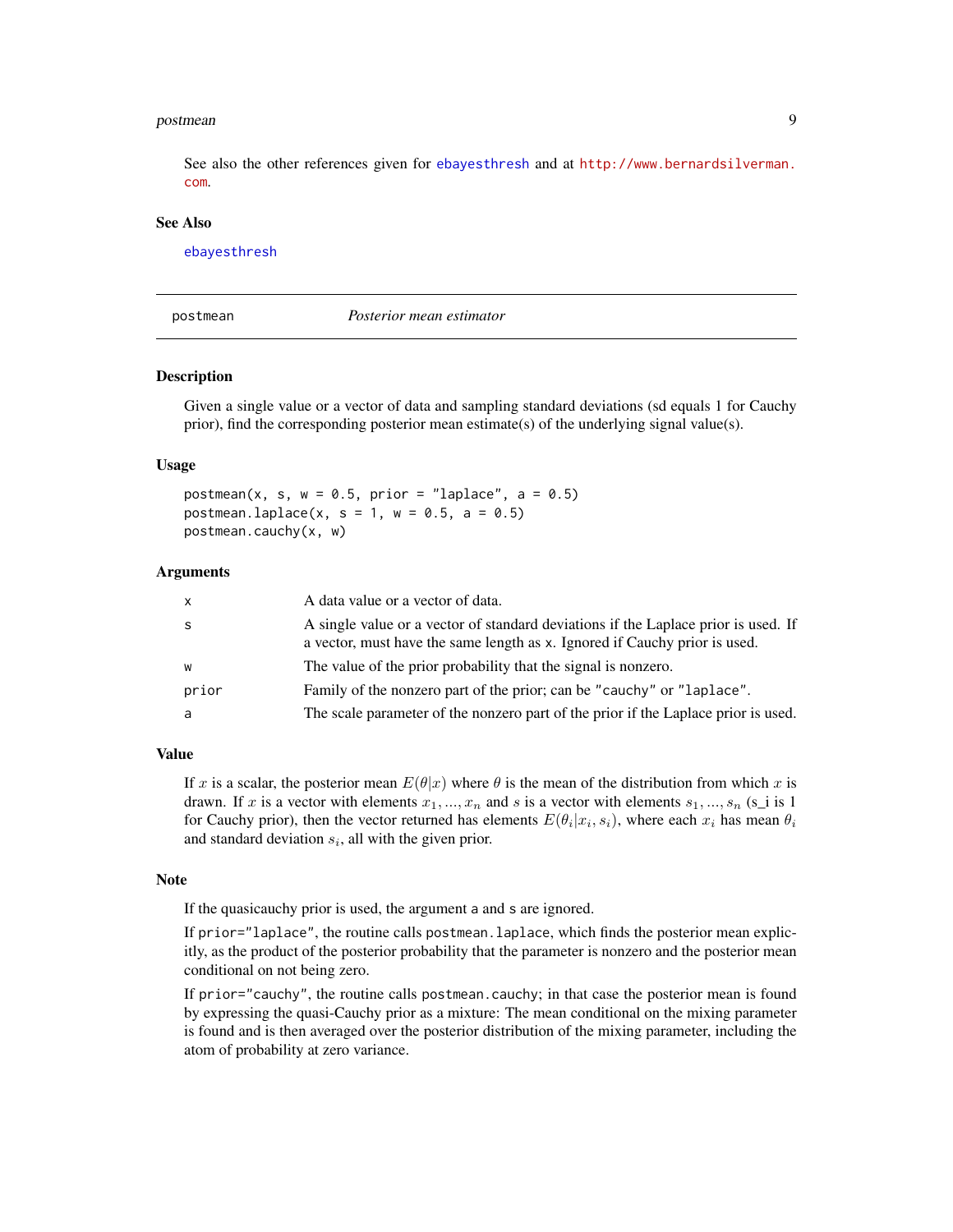#### <span id="page-8-0"></span>postmean and the set of the set of the set of the set of the set of the set of the set of the set of the set of the set of the set of the set of the set of the set of the set of the set of the set of the set of the set of

See also the other references given for [ebayesthresh](#page-3-1) and at [http://www.bernardsilverman.](http://www.bernardsilverman.com) [com](http://www.bernardsilverman.com).

#### See Also

[ebayesthresh](#page-3-1)

<span id="page-8-1"></span>

postmean *Posterior mean estimator*

#### Description

Given a single value or a vector of data and sampling standard deviations (sd equals 1 for Cauchy prior), find the corresponding posterior mean estimate(s) of the underlying signal value(s).

#### Usage

postmean(x, s,  $w = 0.5$ , prior = "laplace", a = 0.5) postmean.laplace(x, s = 1, w = 0.5, a = 0.5) postmean.cauchy(x, w)

#### Arguments

| $\mathsf{x}$ | A data value or a vector of data.                                                                                                                                |
|--------------|------------------------------------------------------------------------------------------------------------------------------------------------------------------|
| <sub>S</sub> | A single value or a vector of standard deviations if the Laplace prior is used. If<br>a vector, must have the same length as x. Ignored if Cauchy prior is used. |
| W            | The value of the prior probability that the signal is nonzero.                                                                                                   |
| prior        | Family of the nonzero part of the prior; can be "cauchy" or "laplace".                                                                                           |
| a            | The scale parameter of the nonzero part of the prior if the Laplace prior is used.                                                                               |

#### Value

If x is a scalar, the posterior mean  $E(\theta|x)$  where  $\theta$  is the mean of the distribution from which x is drawn. If x is a vector with elements  $x_1, ..., x_n$  and s is a vector with elements  $s_1, ..., s_n$  (s\_i is 1) for Cauchy prior), then the vector returned has elements  $E(\theta_i|x_i, s_i)$ , where each  $x_i$  has mean  $\theta_i$ and standard deviation  $s_i$ , all with the given prior.

#### Note

If the quasicauchy prior is used, the argument a and s are ignored.

If prior="laplace", the routine calls postmean.laplace, which finds the posterior mean explicitly, as the product of the posterior probability that the parameter is nonzero and the posterior mean conditional on not being zero.

If prior="cauchy", the routine calls postmean.cauchy; in that case the posterior mean is found by expressing the quasi-Cauchy prior as a mixture: The mean conditional on the mixing parameter is found and is then averaged over the posterior distribution of the mixing parameter, including the atom of probability at zero variance.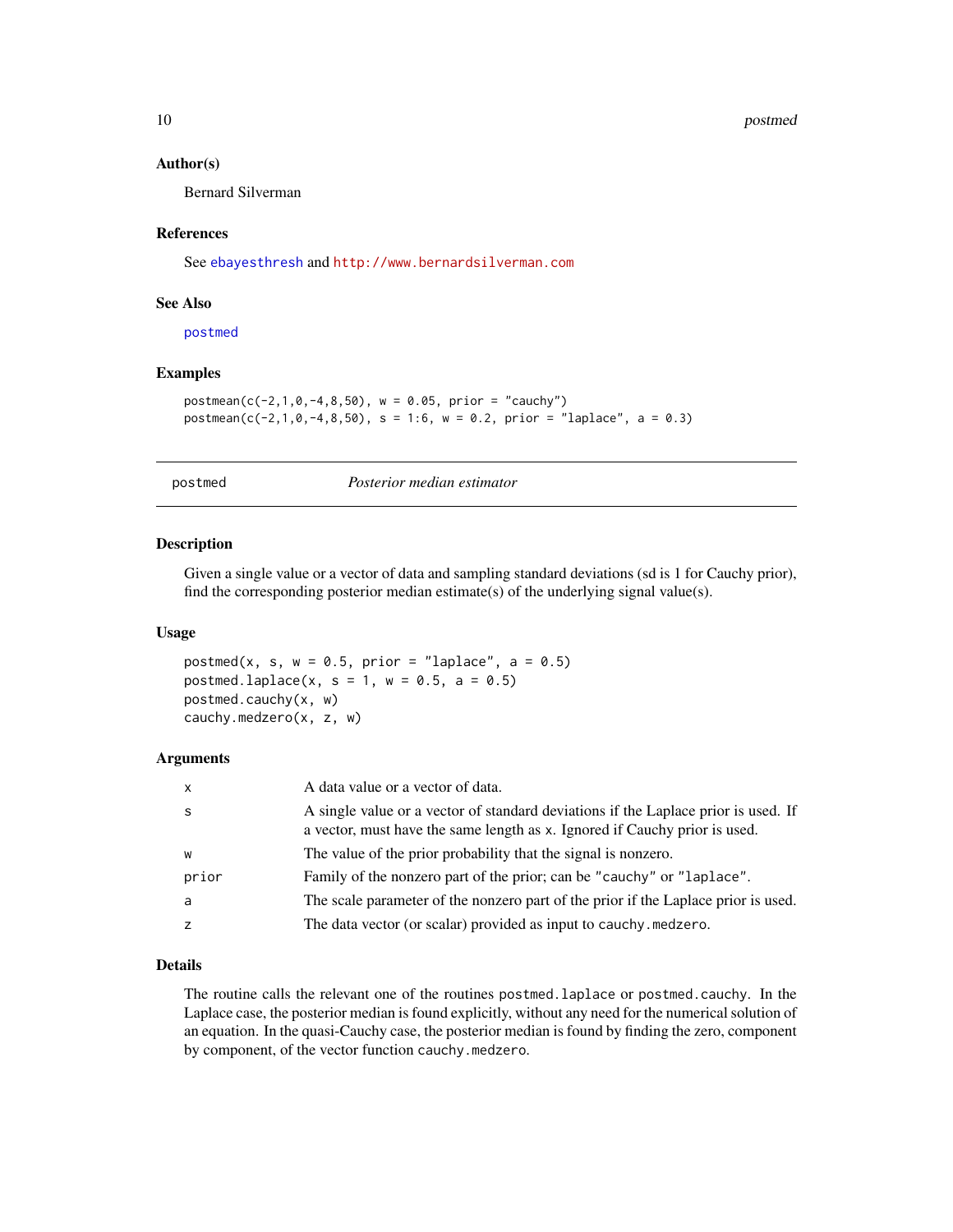#### 10 postmed to postmed the contract of the postmed postmed postmed postmed to postmed the postmed postmed of the  $p$

#### Author(s)

Bernard Silverman

#### References

See [ebayesthresh](#page-3-1) and <http://www.bernardsilverman.com>

#### See Also

[postmed](#page-9-1)

# Examples

```
postmean(c(-2,1,0,-4,8,50), w = 0.05, prior = "cauchy")postmean(c(-2, 1, 0, -4, 8, 50), s = 1:6, w = 0.2, prior = "laplace", a = 0.3)
```
postmed *Posterior median estimator*

#### Description

Given a single value or a vector of data and sampling standard deviations (sd is 1 for Cauchy prior), find the corresponding posterior median estimate(s) of the underlying signal value(s).

#### Usage

postmed(x, s,  $w = 0.5$ , prior = "laplace", a = 0.5) postmed.laplace(x, s = 1, w = 0.5, a = 0.5) postmed.cauchy(x, w) cauchy.medzero(x, z, w)

#### Arguments

| $\mathsf{x}$ | A data value or a vector of data.                                                                                                                                |
|--------------|------------------------------------------------------------------------------------------------------------------------------------------------------------------|
| <sub>S</sub> | A single value or a vector of standard deviations if the Laplace prior is used. If<br>a vector, must have the same length as x. Ignored if Cauchy prior is used. |
| W            | The value of the prior probability that the signal is nonzero.                                                                                                   |
| prior        | Family of the nonzero part of the prior; can be "cauchy" or "laplace".                                                                                           |
| a            | The scale parameter of the nonzero part of the prior if the Laplace prior is used.                                                                               |
| z            | The data vector (or scalar) provided as input to cauchy.medzero.                                                                                                 |

#### Details

The routine calls the relevant one of the routines postmed.laplace or postmed.cauchy. In the Laplace case, the posterior median is found explicitly, without any need for the numerical solution of an equation. In the quasi-Cauchy case, the posterior median is found by finding the zero, component by component, of the vector function cauchy.medzero.

<span id="page-9-0"></span>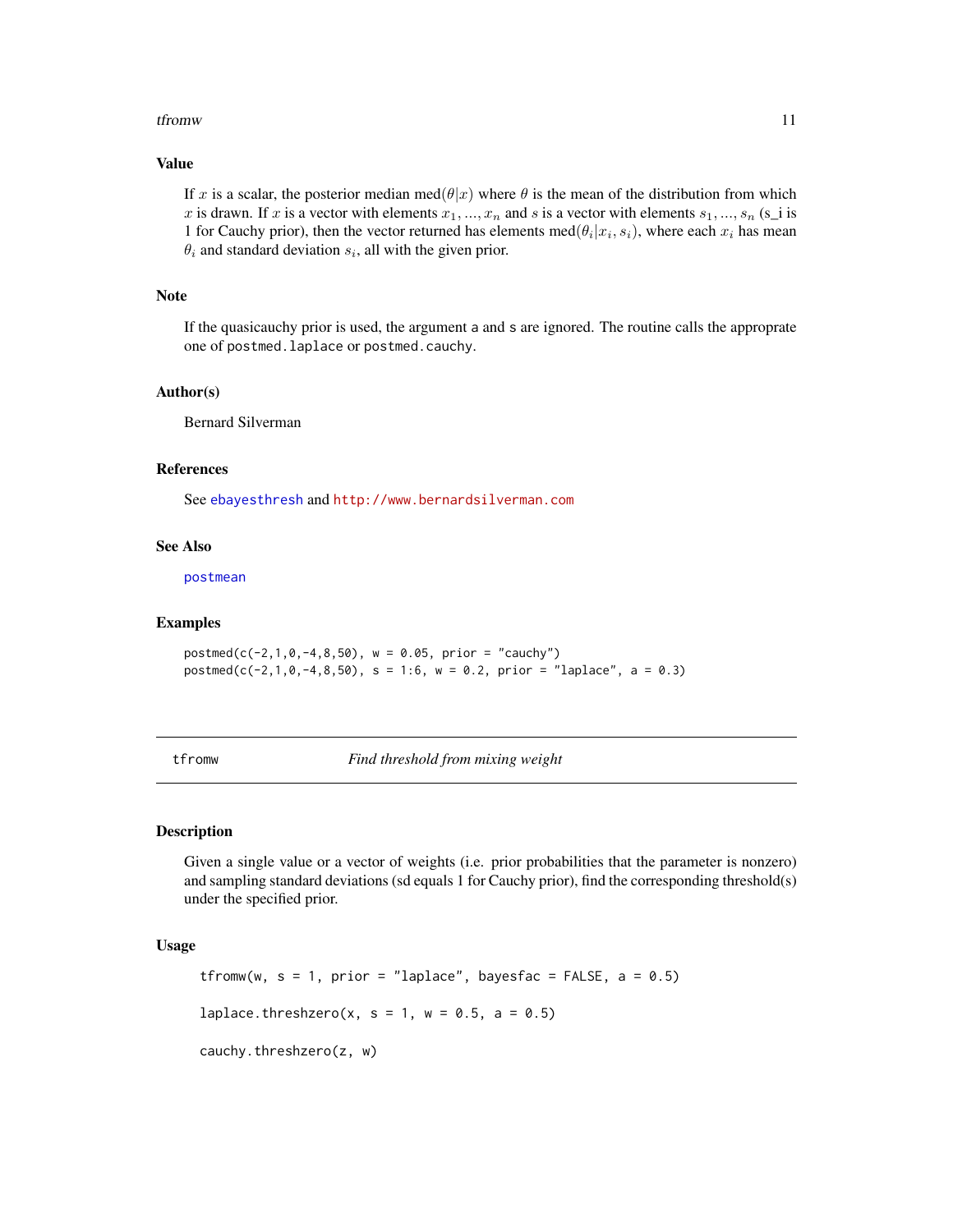#### <span id="page-10-0"></span>tfrom w the state of the state of the state of the state of the state of the state of the state of the state of the state of the state of the state of the state of the state of the state of the state of the state of the st

# Value

If x is a scalar, the posterior median med $(\theta|x)$  where  $\theta$  is the mean of the distribution from which x is drawn. If x is a vector with elements  $x_1, ..., x_n$  and s is a vector with elements  $s_1, ..., s_n$  (s\_i is 1 for Cauchy prior), then the vector returned has elements med $(\theta_i | x_i, s_i)$ , where each  $x_i$  has mean  $\theta_i$  and standard deviation  $s_i$ , all with the given prior.

#### Note

If the quasicauchy prior is used, the argument a and s are ignored. The routine calls the approprate one of postmed.laplace or postmed.cauchy.

#### Author(s)

Bernard Silverman

#### References

See [ebayesthresh](#page-3-1) and <http://www.bernardsilverman.com>

#### See Also

[postmean](#page-8-1)

#### Examples

 $postmed(c(-2,1,0,-4,8,50), w = 0.05, prior = "cauchy")$  $postmed(c(-2,1,0,-4,8,50), s = 1:6, w = 0.2, prior = "laplace", a = 0.3)$ 

<span id="page-10-1"></span>tfromw *Find threshold from mixing weight*

# **Description**

Given a single value or a vector of weights (i.e. prior probabilities that the parameter is nonzero) and sampling standard deviations (sd equals 1 for Cauchy prior), find the corresponding threshold(s) under the specified prior.

# Usage

```
tfromw(w, s = 1, prior = "laplace", bayesfac = FALSE, a = 0.5)
laplace.threshzero(x, s = 1, w = 0.5, a = 0.5)
cauchy.threshzero(z, w)
```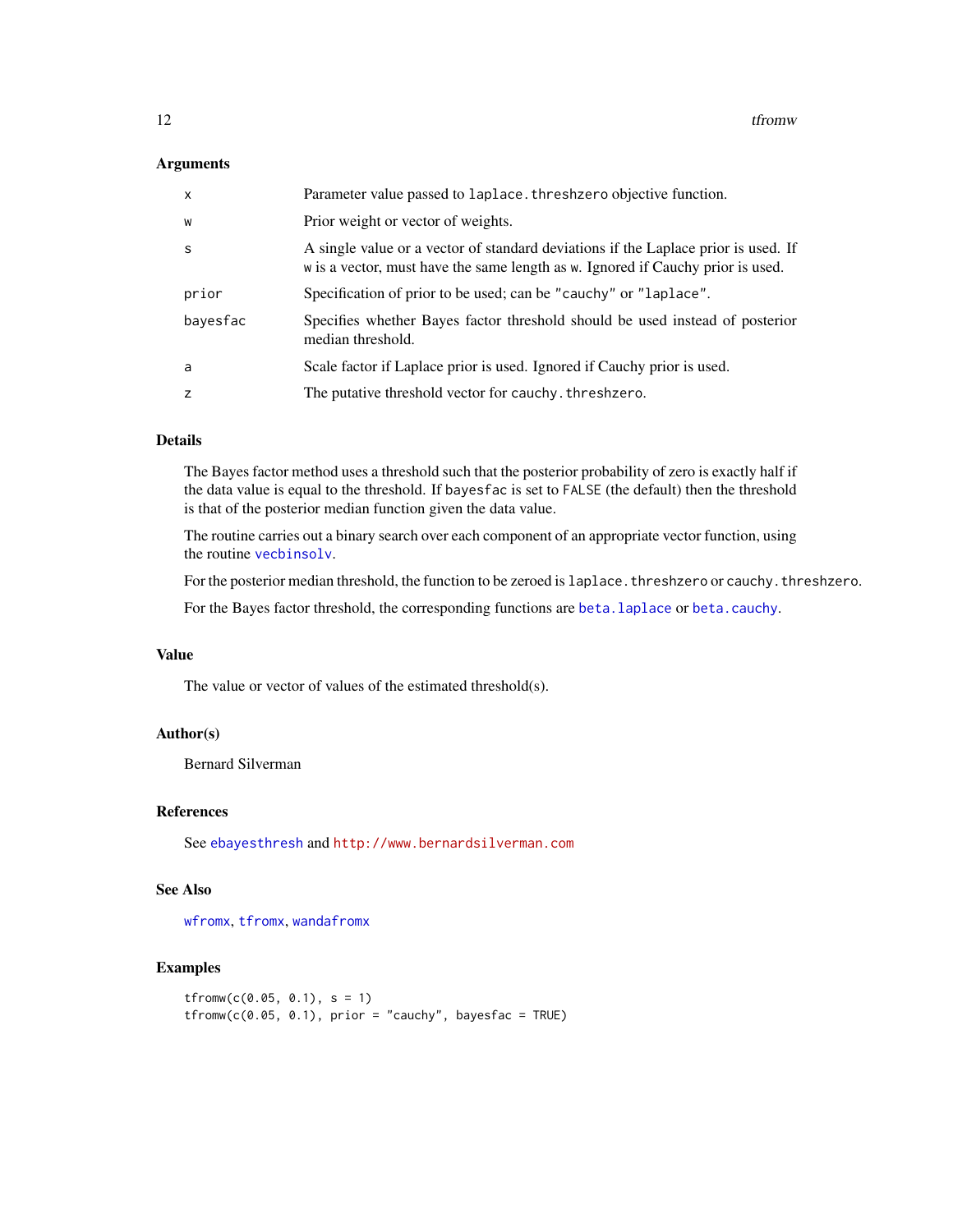#### <span id="page-11-0"></span>Arguments

| $\mathsf{x}$ | Parameter value passed to laplace. threshzero objective function.                                                                                                     |
|--------------|-----------------------------------------------------------------------------------------------------------------------------------------------------------------------|
| W            | Prior weight or vector of weights.                                                                                                                                    |
| -S           | A single value or a vector of standard deviations if the Laplace prior is used. If<br>w is a vector, must have the same length as w. Ignored if Cauchy prior is used. |
| prior        | Specification of prior to be used; can be "cauchy" or "laplace".                                                                                                      |
| bayesfac     | Specifies whether Bayes factor threshold should be used instead of posterior<br>median threshold.                                                                     |
| a            | Scale factor if Laplace prior is used. Ignored if Cauchy prior is used.                                                                                               |
| z            | The putative threshold vector for cauchy. threshzero.                                                                                                                 |

# Details

The Bayes factor method uses a threshold such that the posterior probability of zero is exactly half if the data value is equal to the threshold. If bayesfac is set to FALSE (the default) then the threshold is that of the posterior median function given the data value.

The routine carries out a binary search over each component of an appropriate vector function, using the routine [vecbinsolv](#page-0-0).

For the posterior median threshold, the function to be zeroed is laplace. threshzero or cauchy. threshzero.

For the Bayes factor threshold, the corresponding functions are [beta.laplace](#page-2-1) or [beta.cauchy](#page-1-1).

# Value

The value or vector of values of the estimated threshold(s).

# Author(s)

Bernard Silverman

# References

See [ebayesthresh](#page-3-1) and <http://www.bernardsilverman.com>

# See Also

[wfromx](#page-16-1), [tfromx](#page-12-1), [wandafromx](#page-14-1)

# Examples

```
tfromw(c(0.05, 0.1), s = 1)
tfromw(c(0.05, 0.1), prior = "cauchy", bayesfac = TRUE)
```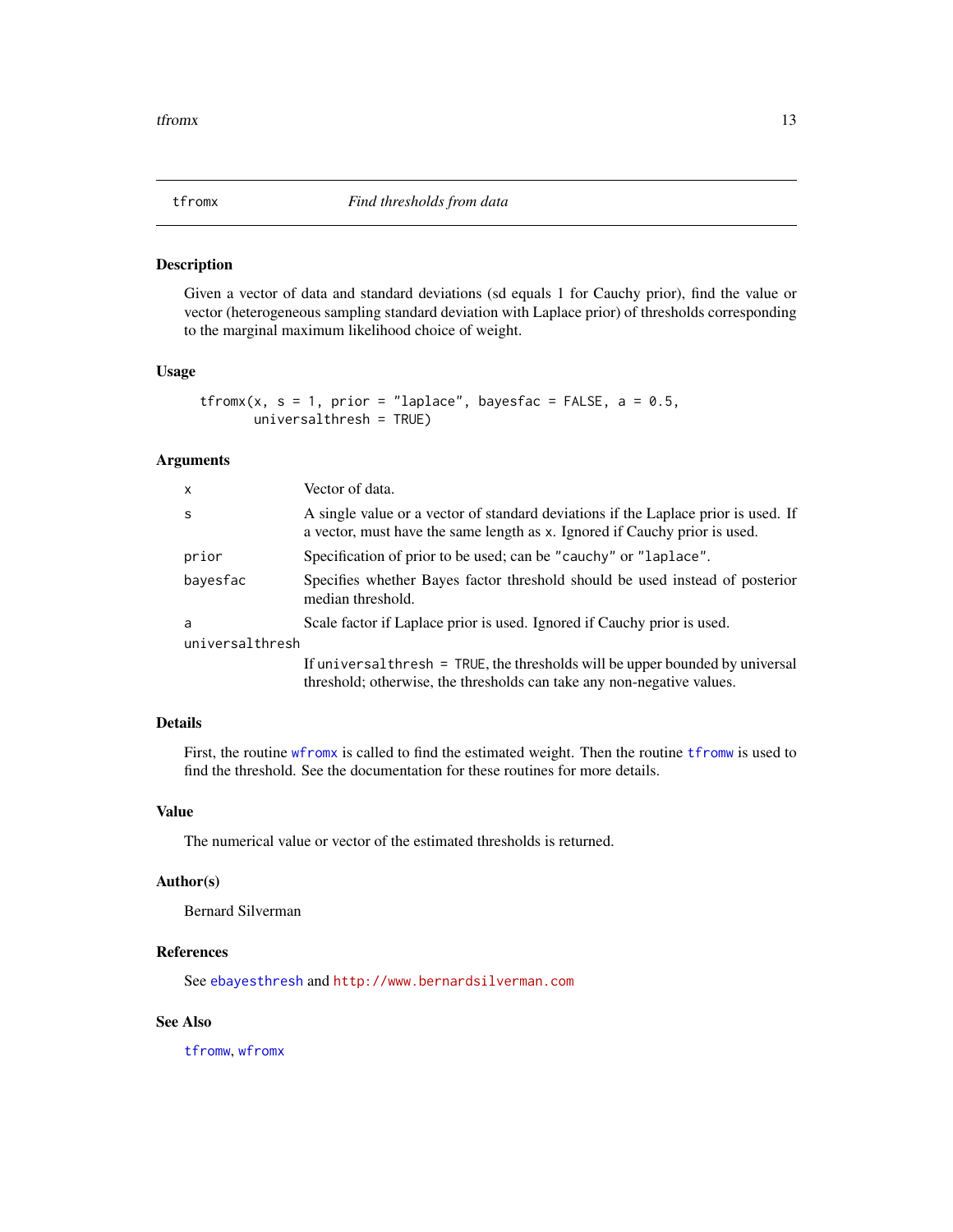<span id="page-12-1"></span><span id="page-12-0"></span>

# Description

Given a vector of data and standard deviations (sd equals 1 for Cauchy prior), find the value or vector (heterogeneous sampling standard deviation with Laplace prior) of thresholds corresponding to the marginal maximum likelihood choice of weight.

# Usage

```
tfromx(x, s = 1, prior = "laplace", bayesfac = FALSE, a = 0.5,
      universalthresh = TRUE)
```
# Arguments

| $\mathsf{x}$    | Vector of data.                                                                                                                                                  |
|-----------------|------------------------------------------------------------------------------------------------------------------------------------------------------------------|
| <sub>S</sub>    | A single value or a vector of standard deviations if the Laplace prior is used. If<br>a vector, must have the same length as x. Ignored if Cauchy prior is used. |
| prior           | Specification of prior to be used; can be "cauchy" or "laplace".                                                                                                 |
| bayesfac        | Specifies whether Bayes factor threshold should be used instead of posterior<br>median threshold.                                                                |
| a               | Scale factor if Laplace prior is used. Ignored if Cauchy prior is used.                                                                                          |
| universalthresh |                                                                                                                                                                  |
|                 | If universal thresh = TRUE, the thresholds will be upper bounded by universal<br>threshold; otherwise, the thresholds can take any non-negative values.          |

#### Details

First, the routine [wfromx](#page-16-1) is called to find the estimated weight. Then the routine [tfromw](#page-10-1) is used to find the threshold. See the documentation for these routines for more details.

## Value

The numerical value or vector of the estimated thresholds is returned.

# Author(s)

Bernard Silverman

# References

See [ebayesthresh](#page-3-1) and <http://www.bernardsilverman.com>

#### See Also

[tfromw](#page-10-1), [wfromx](#page-16-1)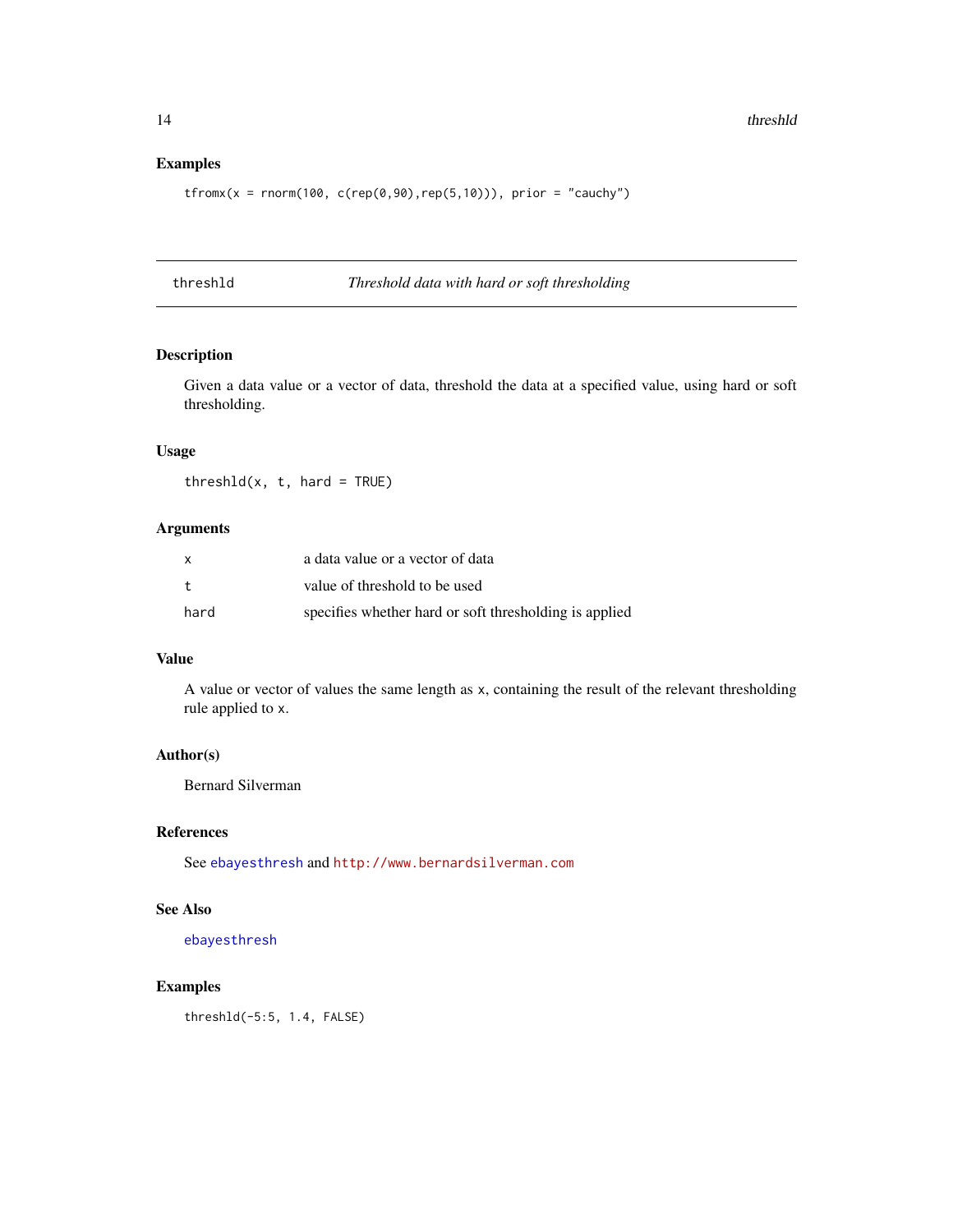# <span id="page-13-0"></span>Examples

 $tfromx(x = rnorm(100, c(rep(0,90), rep(5,10)))$ , prior = "cauchy")

<span id="page-13-1"></span>threshld *Threshold data with hard or soft thresholding*

# Description

Given a data value or a vector of data, threshold the data at a specified value, using hard or soft thresholding.

#### Usage

 $threshold(x, t, hard = TRUE)$ 

#### Arguments

|      | a data value or a vector of data                       |
|------|--------------------------------------------------------|
| t.   | value of threshold to be used                          |
| hard | specifies whether hard or soft thresholding is applied |

# Value

A value or vector of values the same length as x, containing the result of the relevant thresholding rule applied to x.

# Author(s)

Bernard Silverman

# References

See [ebayesthresh](#page-3-1) and <http://www.bernardsilverman.com>

# See Also

[ebayesthresh](#page-3-1)

# Examples

threshld(-5:5, 1.4, FALSE)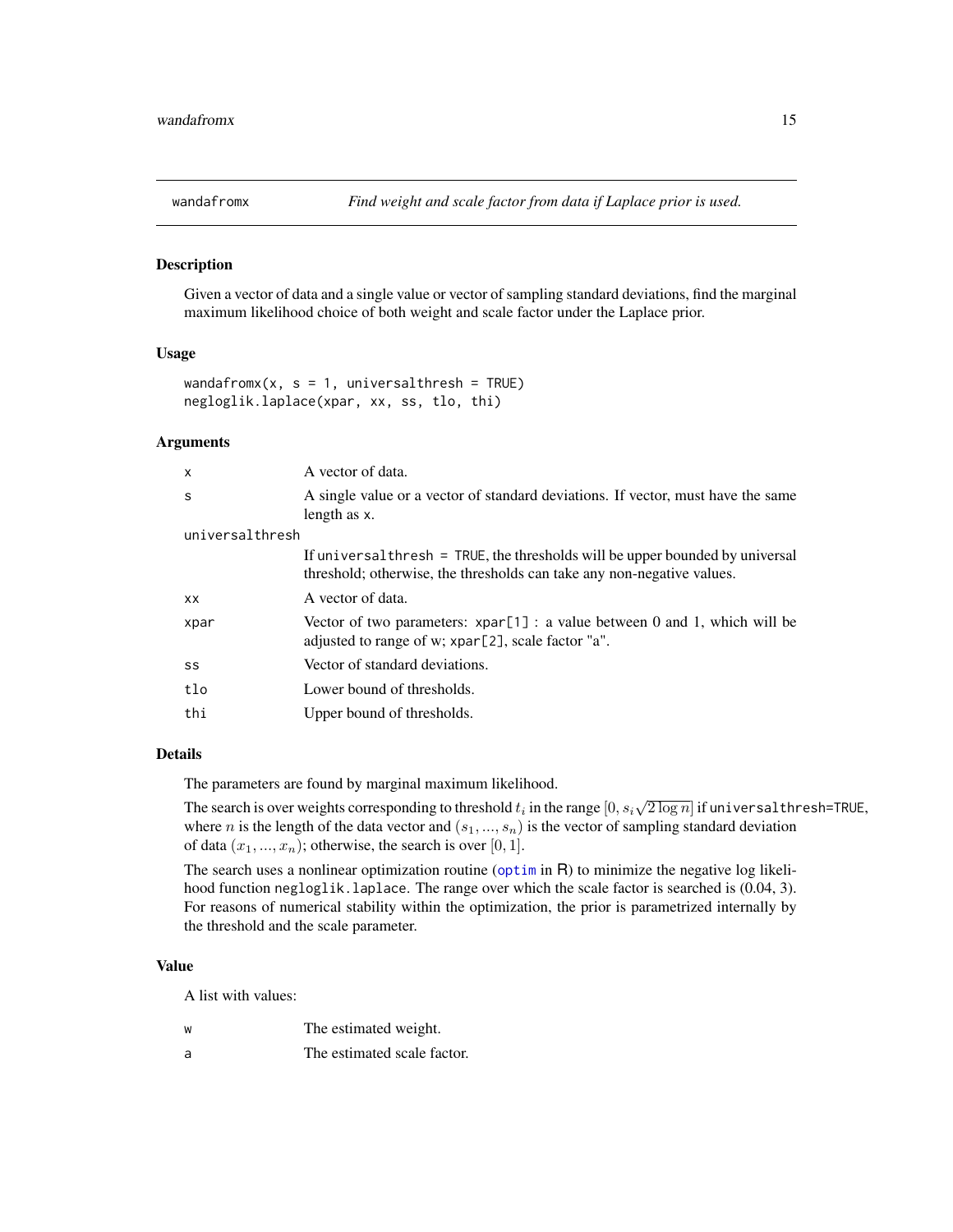<span id="page-14-1"></span><span id="page-14-0"></span>

#### Description

Given a vector of data and a single value or vector of sampling standard deviations, find the marginal maximum likelihood choice of both weight and scale factor under the Laplace prior.

#### Usage

```
wandafromx(x, s = 1, universalthresh = TRUE)
negloglik.laplace(xpar, xx, ss, tlo, thi)
```
#### Arguments

| X               | A vector of data.                                                                                                                                       |  |  |  |
|-----------------|---------------------------------------------------------------------------------------------------------------------------------------------------------|--|--|--|
| S               | A single value or a vector of standard deviations. If vector, must have the same<br>length as x.                                                        |  |  |  |
| universalthresh |                                                                                                                                                         |  |  |  |
|                 | If universal thresh = TRUE, the thresholds will be upper bounded by universal<br>threshold; otherwise, the thresholds can take any non-negative values. |  |  |  |
| <b>XX</b>       | A vector of data.                                                                                                                                       |  |  |  |
| xpar            | Vector of two parameters: $xpar[1]$ : a value between 0 and 1, which will be<br>adjusted to range of w; xpar[2], scale factor "a".                      |  |  |  |
| SS              | Vector of standard deviations.                                                                                                                          |  |  |  |
| tlo             | Lower bound of thresholds.                                                                                                                              |  |  |  |
| thi             | Upper bound of thresholds.                                                                                                                              |  |  |  |

# Details

The parameters are found by marginal maximum likelihood.

The search is over weights corresponding to threshold  $t_i$  in the range  $[0, s_i\sqrt{2\log n}]$  if universal thresh=TRUE, where *n* is the length of the data vector and  $(s_1, ..., s_n)$  is the vector of sampling standard deviation of data  $(x_1, ..., x_n)$ ; otherwise, the search is over [0, 1].

The search uses a nonlinear optimization routine ([optim](#page-0-0) in R) to minimize the negative log likelihood function negloglik.laplace. The range over which the scale factor is searched is  $(0.04, 3)$ . For reasons of numerical stability within the optimization, the prior is parametrized internally by the threshold and the scale parameter.

#### Value

A list with values:

- w The estimated weight.
- a The estimated scale factor.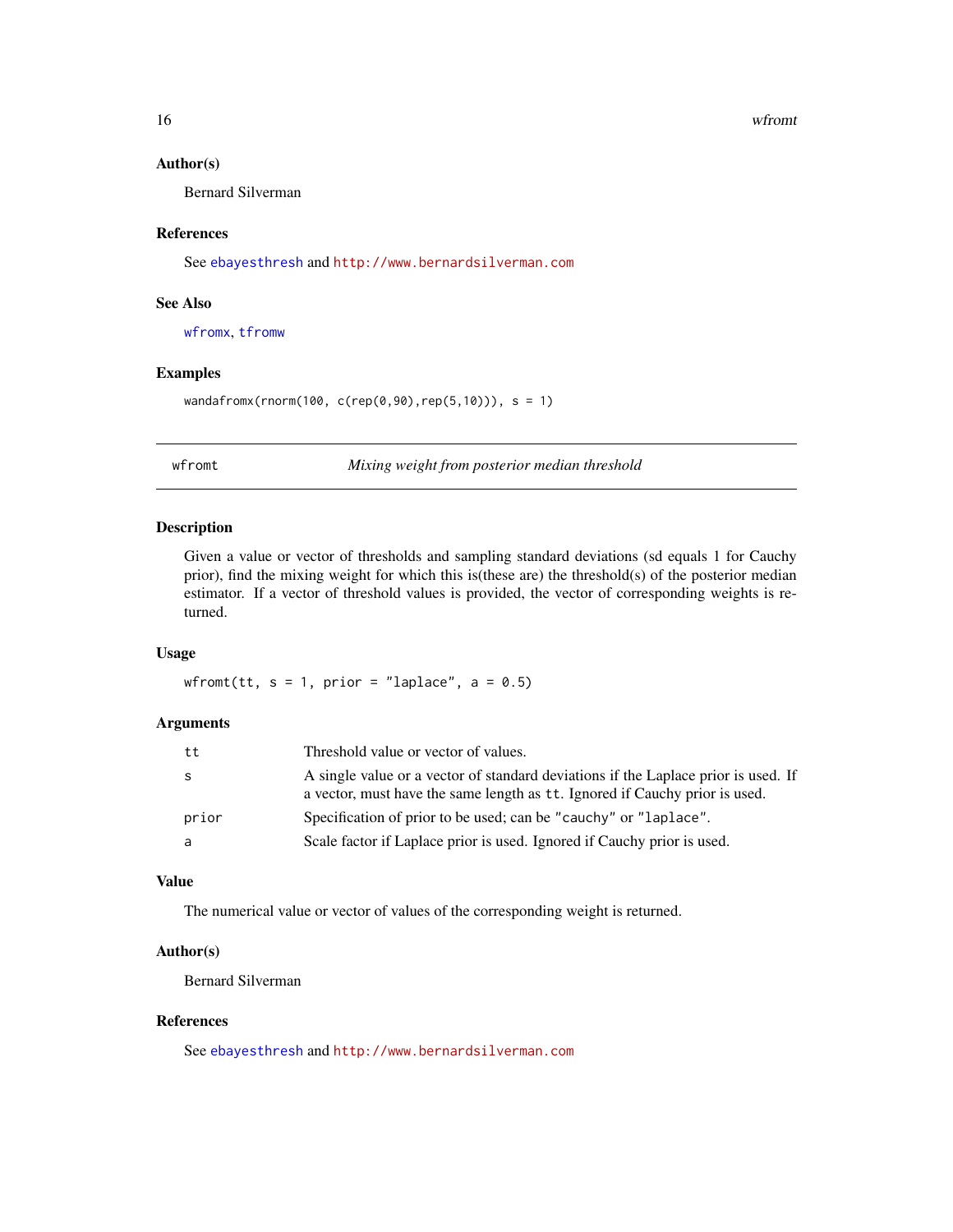#### <span id="page-15-0"></span>16 when the contract of the contract of the contract of the contract of the contract of the contract of the contract of the contract of the contract of the contract of the contract of the contract of the contract of the co

# Author(s)

Bernard Silverman

# References

See [ebayesthresh](#page-3-1) and <http://www.bernardsilverman.com>

#### See Also

[wfromx](#page-16-1), [tfromw](#page-10-1)

#### Examples

wandafromx(rnorm(100, c(rep(0,90),rep(5,10))), s = 1)

<span id="page-15-1"></span>wfromt *Mixing weight from posterior median threshold*

# Description

Given a value or vector of thresholds and sampling standard deviations (sd equals 1 for Cauchy prior), find the mixing weight for which this is(these are) the threshold(s) of the posterior median estimator. If a vector of threshold values is provided, the vector of corresponding weights is returned.

#### Usage

wfromt(tt,  $s = 1$ , prior = "laplace",  $a = 0.5$ )

#### Arguments

| tt    | Threshold value or vector of values.                                                                                                                              |
|-------|-------------------------------------------------------------------------------------------------------------------------------------------------------------------|
| S     | A single value or a vector of standard deviations if the Laplace prior is used. If<br>a vector, must have the same length as tt. Ignored if Cauchy prior is used. |
| prior | Specification of prior to be used; can be "cauchy" or "laplace".                                                                                                  |
| a     | Scale factor if Laplace prior is used. Ignored if Cauchy prior is used.                                                                                           |

# Value

The numerical value or vector of values of the corresponding weight is returned.

#### Author(s)

Bernard Silverman

#### References

See [ebayesthresh](#page-3-1) and <http://www.bernardsilverman.com>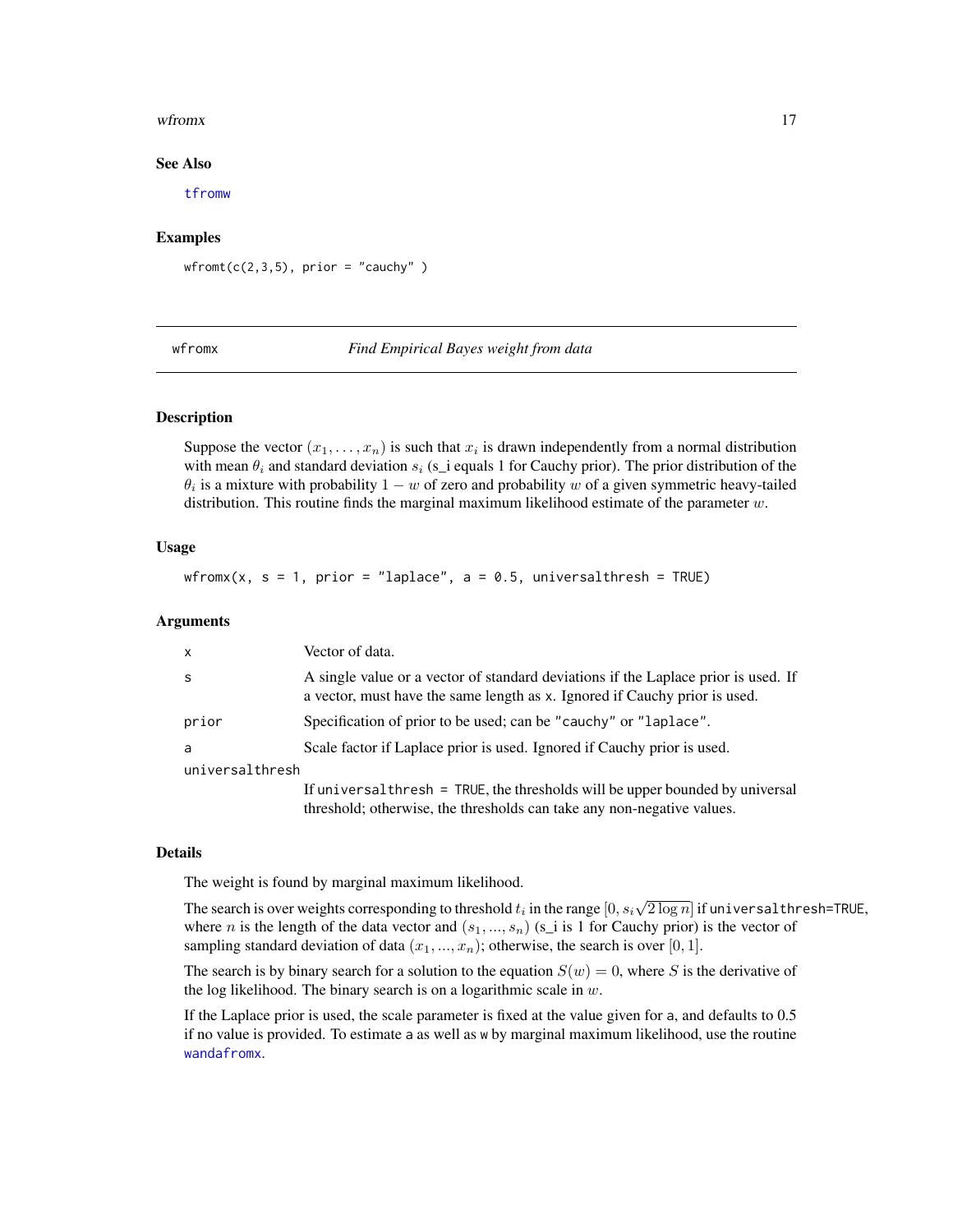#### <span id="page-16-0"></span>wfrom x and the state of the state of the state of the state of the state of the state of the state of the state of the state of the state of the state of the state of the state of the state of the state of the state of th

#### See Also

[tfromw](#page-10-1)

# Examples

 $wfront(c(2,3,5), prior = "cauchy")$ 

<span id="page-16-1"></span>

wfromx *Find Empirical Bayes weight from data*

#### Description

Suppose the vector  $(x_1, \ldots, x_n)$  is such that  $x_i$  is drawn independently from a normal distribution with mean  $\theta_i$  and standard deviation  $s_i$  (s\_i equals 1 for Cauchy prior). The prior distribution of the  $\theta_i$  is a mixture with probability  $1 - w$  of zero and probability w of a given symmetric heavy-tailed distribution. This routine finds the marginal maximum likelihood estimate of the parameter  $w$ .

# Usage

wfromx(x,  $s = 1$ , prior = "laplace",  $a = 0.5$ , universalthresh = TRUE)

#### Arguments

| $\mathsf{x}$    | Vector of data.                                                                                                                                                  |  |  |  |
|-----------------|------------------------------------------------------------------------------------------------------------------------------------------------------------------|--|--|--|
| -S              | A single value or a vector of standard deviations if the Laplace prior is used. If<br>a vector, must have the same length as x. Ignored if Cauchy prior is used. |  |  |  |
| prior           | Specification of prior to be used; can be "cauchy" or "laplace".                                                                                                 |  |  |  |
| a               | Scale factor if Laplace prior is used. Ignored if Cauchy prior is used.                                                                                          |  |  |  |
| universalthresh |                                                                                                                                                                  |  |  |  |
|                 | If universal thresh = TRUE, the thresholds will be upper bounded by universal<br>threshold; otherwise, the thresholds can take any non-negative values.          |  |  |  |

#### Details

The weight is found by marginal maximum likelihood.

The search is over weights corresponding to threshold  $t_i$  in the range  $[0, s_i\sqrt{2\log n}]$  if universal thresh=TRUE, where *n* is the length of the data vector and  $(s_1, ..., s_n)$  (s\_i is 1 for Cauchy prior) is the vector of sampling standard deviation of data  $(x_1, ..., x_n)$ ; otherwise, the search is over [0, 1].

The search is by binary search for a solution to the equation  $S(w) = 0$ , where S is the derivative of the log likelihood. The binary search is on a logarithmic scale in  $w$ .

If the Laplace prior is used, the scale parameter is fixed at the value given for a, and defaults to 0.5 if no value is provided. To estimate a as well as w by marginal maximum likelihood, use the routine [wandafromx](#page-14-1).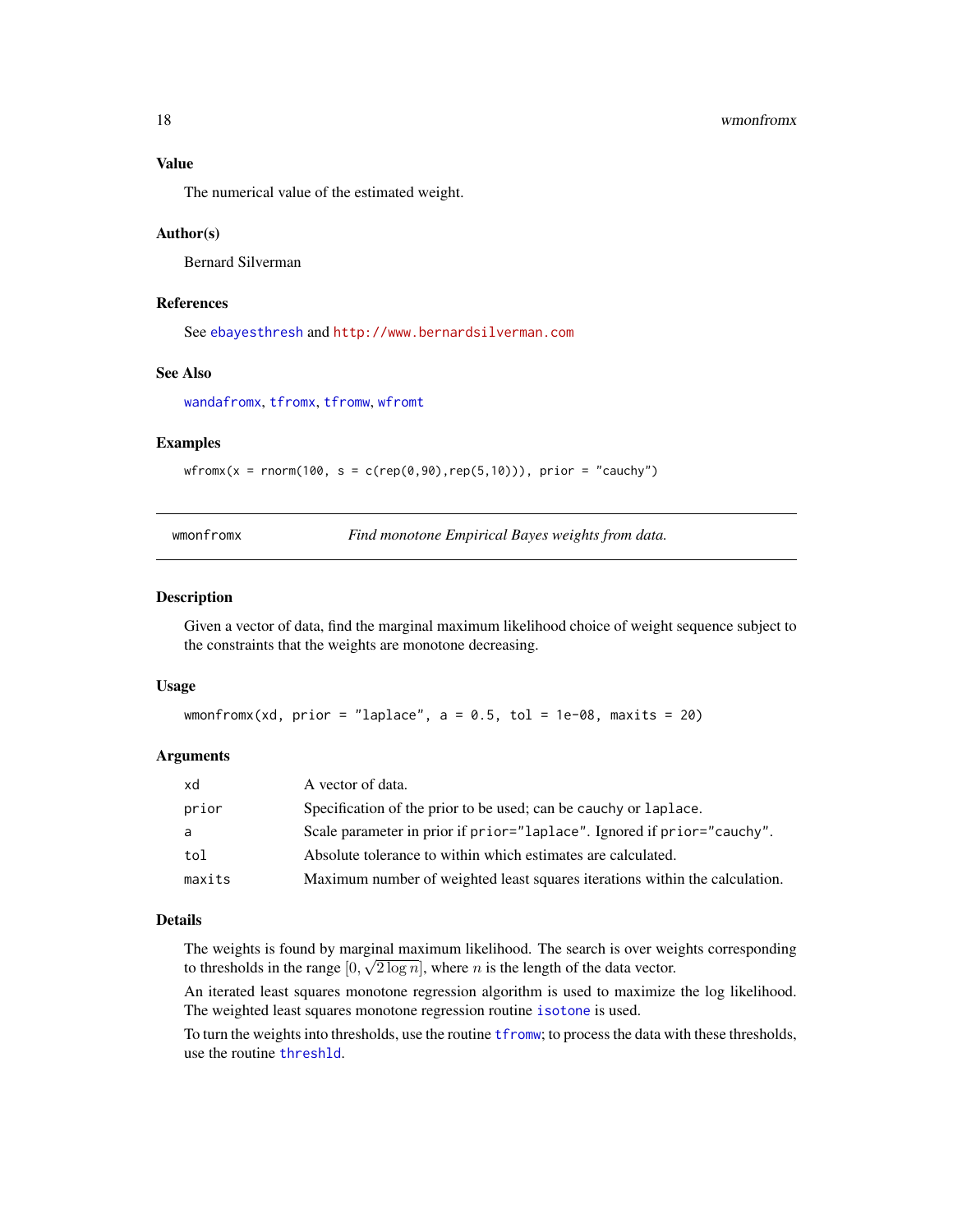<span id="page-17-0"></span>

The numerical value of the estimated weight.

# Author(s)

Bernard Silverman

#### References

See [ebayesthresh](#page-3-1) and <http://www.bernardsilverman.com>

#### See Also

[wandafromx](#page-14-1), [tfromx](#page-12-1), [tfromw](#page-10-1), [wfromt](#page-15-1)

### Examples

 $wfromx(x = rnorm(100, s = c(rep(0, 90), rep(5, 10)))$ , prior = "cauchy")

<span id="page-17-1"></span>wmonfromx *Find monotone Empirical Bayes weights from data.*

# **Description**

Given a vector of data, find the marginal maximum likelihood choice of weight sequence subject to the constraints that the weights are monotone decreasing.

#### Usage

wmonfromx(xd, prior = "laplace",  $a = 0.5$ , tol = 1e-08, maxits = 20)

#### Arguments

| xd     | A vector of data.                                                           |
|--------|-----------------------------------------------------------------------------|
| prior  | Specification of the prior to be used; can be cauchy or laplace.            |
| a      | Scale parameter in prior if prior="laplace". Ignored if prior="cauchy".     |
| tol    | Absolute tolerance to within which estimates are calculated.                |
| maxits | Maximum number of weighted least squares iterations within the calculation. |

#### Details

The weights is found by marginal maximum likelihood. The search is over weights corresponding to thresholds in the range  $[0, \sqrt{2 \log n}]$ , where n is the length of the data vector.

An iterated least squares monotone regression algorithm is used to maximize the log likelihood. The weighted least squares monotone regression routine [isotone](#page-0-0) is used.

To turn the weights into thresholds, use the routine [tfromw](#page-10-1); to process the data with these thresholds, use the routine [threshld](#page-13-1).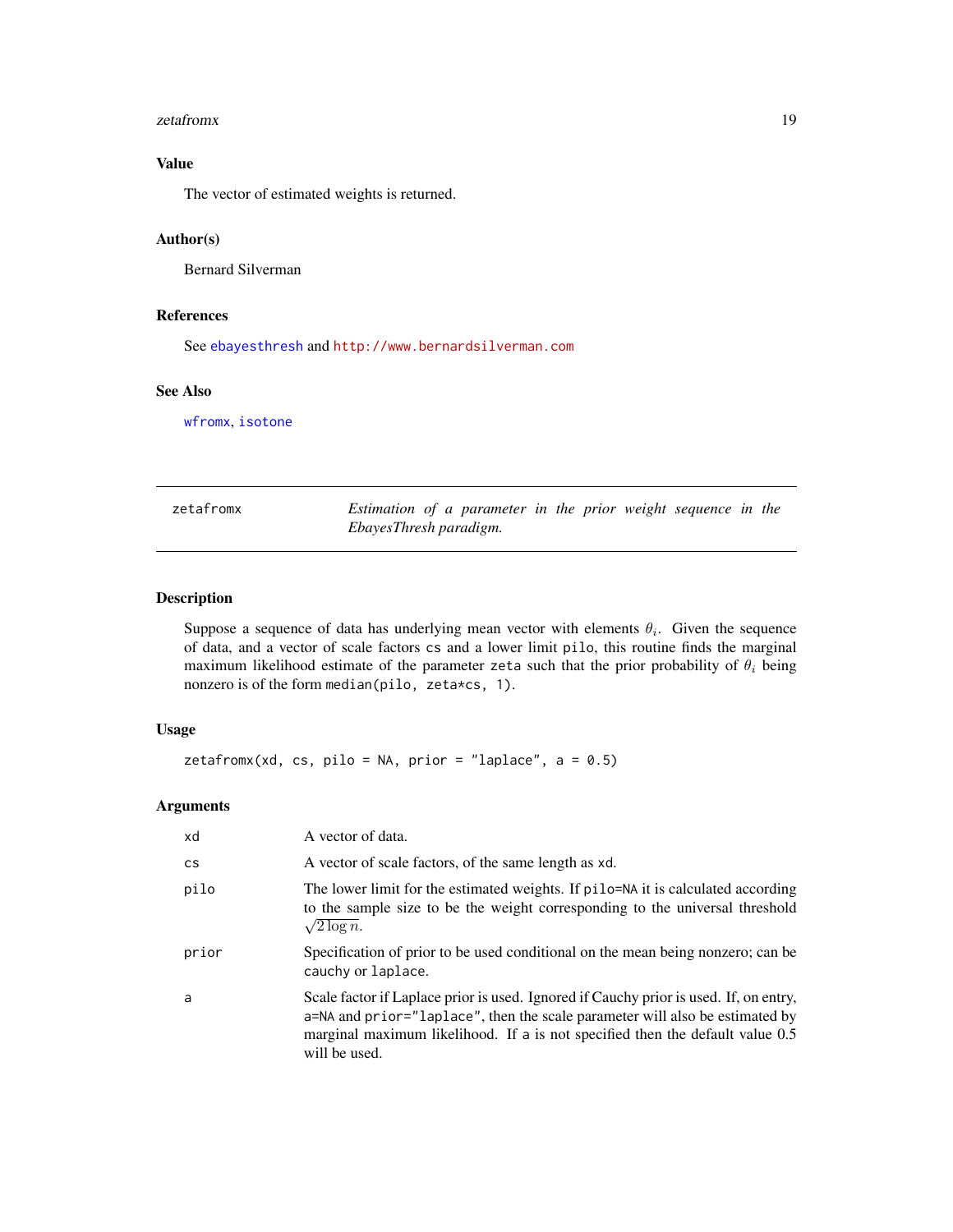#### <span id="page-18-0"></span>zetafromx and the set of the set of the set of the set of the set of the set of the set of the set of the set of the set of the set of the set of the set of the set of the set of the set of the set of the set of the set of

# Value

The vector of estimated weights is returned.

# Author(s)

Bernard Silverman

# References

See [ebayesthresh](#page-3-1) and <http://www.bernardsilverman.com>

# See Also

[wfromx](#page-16-1), [isotone](#page-0-0)

| zetafromx | Estimation of a parameter in the prior weight sequence in the |  |  |  |  |  |
|-----------|---------------------------------------------------------------|--|--|--|--|--|
|           | EbayesThresh paradigm.                                        |  |  |  |  |  |

# Description

Suppose a sequence of data has underlying mean vector with elements  $\theta_i$ . Given the sequence of data, and a vector of scale factors cs and a lower limit pilo, this routine finds the marginal maximum likelihood estimate of the parameter zeta such that the prior probability of  $\theta_i$  being nonzero is of the form median(pilo, zeta\*cs, 1).

#### Usage

```
zetafromx(xd, cs, pilo = NA, prior = "laplace", a = 0.5)
```
# Arguments

| xd        | A vector of data.                                                                                                                                                                                                                                                       |
|-----------|-------------------------------------------------------------------------------------------------------------------------------------------------------------------------------------------------------------------------------------------------------------------------|
| <b>CS</b> | A vector of scale factors, of the same length as xd.                                                                                                                                                                                                                    |
| pilo      | The lower limit for the estimated weights. If pilo=NA it is calculated according<br>to the sample size to be the weight corresponding to the universal threshold<br>$\sqrt{2 \log n}$ .                                                                                 |
| prior     | Specification of prior to be used conditional on the mean being nonzero; can be<br>cauchy or laplace.                                                                                                                                                                   |
| a         | Scale factor if Laplace prior is used. Ignored if Cauchy prior is used. If, on entry,<br>a=NA and prior="laplace", then the scale parameter will also be estimated by<br>marginal maximum likelihood. If a is not specified then the default value 0.5<br>will be used. |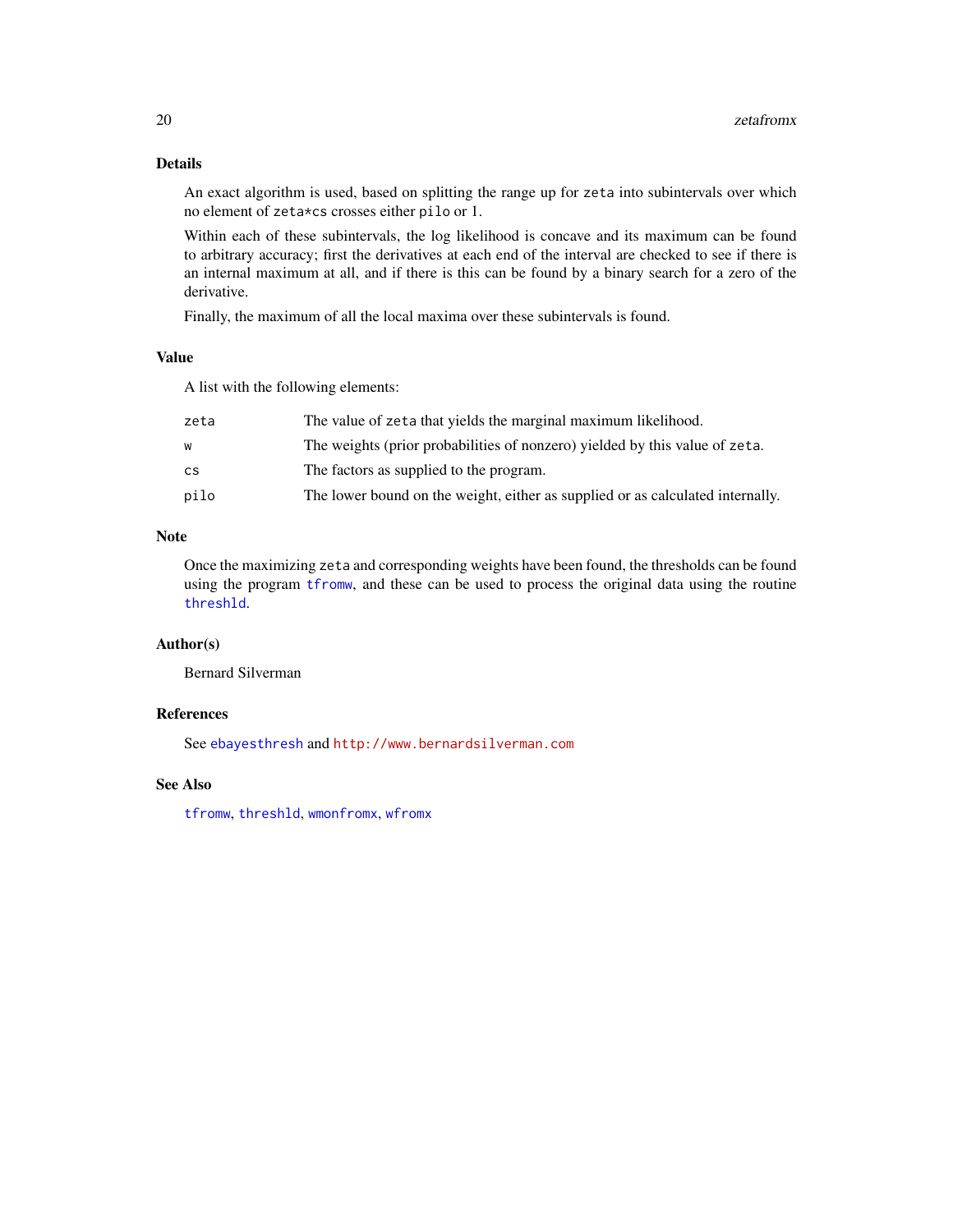# Details

An exact algorithm is used, based on splitting the range up for zeta into subintervals over which no element of zeta\*cs crosses either pilo or 1.

Within each of these subintervals, the log likelihood is concave and its maximum can be found to arbitrary accuracy; first the derivatives at each end of the interval are checked to see if there is an internal maximum at all, and if there is this can be found by a binary search for a zero of the derivative.

Finally, the maximum of all the local maxima over these subintervals is found.

# Value

A list with the following elements:

| zeta | The value of zeta that yields the marginal maximum likelihood.                 |
|------|--------------------------------------------------------------------------------|
| w    | The weights (prior probabilities of nonzero) yielded by this value of zeta.    |
| CS   | The factors as supplied to the program.                                        |
| pilo | The lower bound on the weight, either as supplied or as calculated internally. |

# Note

Once the maximizing zeta and corresponding weights have been found, the thresholds can be found using the program [tfromw](#page-10-1), and these can be used to process the original data using the routine [threshld](#page-13-1).

#### Author(s)

Bernard Silverman

#### References

See [ebayesthresh](#page-3-1) and <http://www.bernardsilverman.com>

#### See Also

[tfromw](#page-10-1), [threshld](#page-13-1), [wmonfromx](#page-17-1), [wfromx](#page-16-1)

<span id="page-19-0"></span>